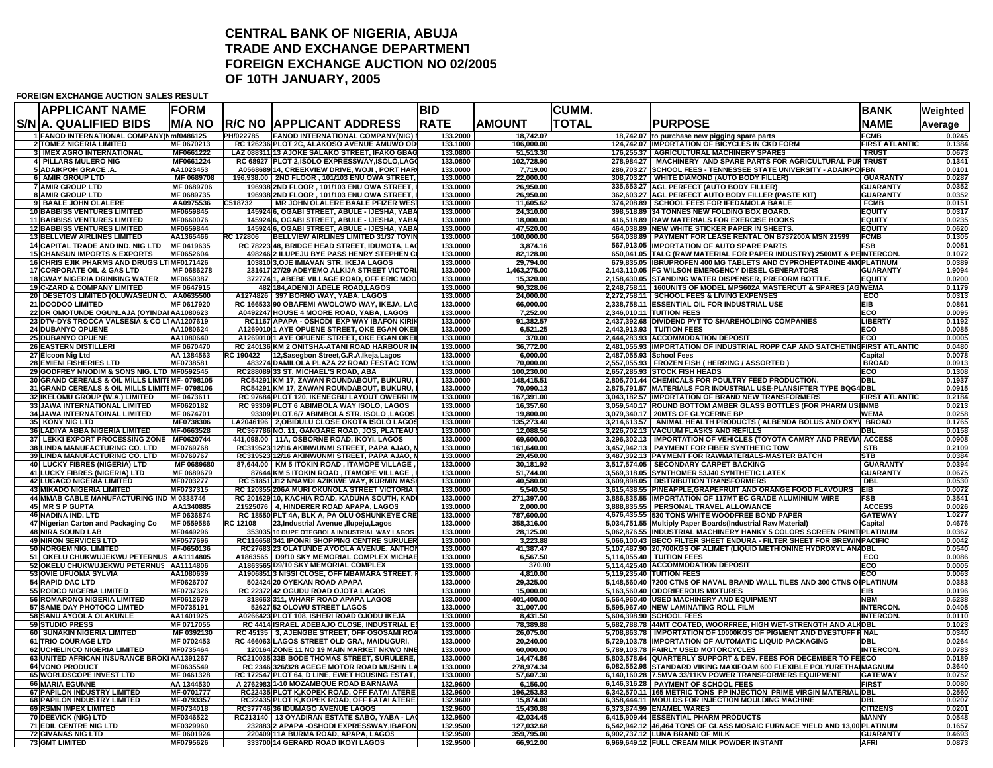## **CENTRAL BANK OF NIGERIA, ABUJA TRADE AND EXCHANGE DEPARTMENTFOREIGN EXCHANGE AUCTION NO 02/2005 OF 10TH JANUARY, 2005**

## **FOREIGN EXCHANGE AUCTION SALES RESULT**

| <b>APPLICANT NAME</b>                                                                     | <b>FORM</b>             |                  |                                                                                              | <b>BID</b>           |                         | <b>CUMM.</b>             |                                                                                                                                  | <b>BANK</b>                  | Weighted         |
|-------------------------------------------------------------------------------------------|-------------------------|------------------|----------------------------------------------------------------------------------------------|----------------------|-------------------------|--------------------------|----------------------------------------------------------------------------------------------------------------------------------|------------------------------|------------------|
| S/N IA. QUALIFIED BIDS                                                                    | IM/A NO                 | IR/C NO I        | IAPPLICANT ADDRESS                                                                           | <b>RATE</b>          | <b>AMOUNT</b>           | TOTAL                    | <b>PURPOSE</b>                                                                                                                   | <b>NAME</b>                  | Average          |
| 1 FANOD INTERNATIONAL COMPANY(Nmf0486125                                                  |                         | PH/022785        | <b>FANOD INTERNATIONAL COMPANY(NIG)</b>                                                      | 133.2000             | 18,742.07               |                          | 18,742.07 to purchase new pigging spare parts                                                                                    | <b>FCMB</b>                  | 0.0245           |
| <b>2 TOMEZ NIGERIA LIMITED</b>                                                            | MF 0670213              |                  | RC 126236 PLOT 2C, ALAKOSO AVENUE AMUWO OD                                                   | 133.1000             | 106,000.00              |                          | 124,742.07 IMPORTATION OF BICYCLES IN CKD FORM                                                                                   | <b>FIRST ATLANTIC</b>        | 0.1384           |
| 3 IMEX AGRO INTERNATIONAL<br>4 PILLARS MULERO NIG                                         | MF0661222<br>MF0661224  |                  | LAZ 088311 13 AJOKE SALAKO STREET, IFAKO GBAG<br>RC 68927 PLOT 2,ISOLO EXPRESSWAY,ISOLO,LAGO | 133.0800<br>133.0800 | 51,513.30<br>102,728.90 |                          | 176,255.37 AGRICULTURAL MACHINERY SPARES<br>278,984.27   MACHINERY AND SPARE PARTS FOR AGRICULTURAL PUI TRUST                    | <b>TRUST</b>                 | 0.0673<br>0.1341 |
| 5 ADAIKPOH GRACE .A.                                                                      | AA1023453               |                  | A0568689 14, CREEKVIEW DRIVE, WOJI, PORT HAR                                                 | 133.0000             | 7,719.00                |                          | 286,703.27 SCHOOL FEES - TENNESSEE STATE UNIVERSITY - ADAIKPO FBN                                                                |                              | 0.0101           |
| 6 AMIR GROUP LTD                                                                          | MF 0689708              |                  | 196,938.00 2ND FLOOR, 101/103 ENU OWA STREET                                                 | 133.0000             | 22,000.00               |                          | 308,703.27 WHITE DIAMOND (AUTO BODY FILLER)                                                                                      | <b>GUARANTY</b>              | 0.0287           |
| <b>7 AMIR GROUP LTD</b>                                                                   | MF 0689706              |                  | 196938 2ND FLOOR, 101/103 ENU OWA STREET,                                                    | 133.0000             | 26,950.00               |                          | 335,653.27 AGL PERFECT (AUTO BODY FILLER)                                                                                        | <b>GUARANTY</b>              | 0.0352           |
| <b>8 AMIR GROUP LTD</b>                                                                   | MF 0689735              |                  | 196938 2ND FLOOR, 101/103 ENU OWA STREET,                                                    | 133.0000             | 26,950.00               |                          | 362,603.27 AGL PERFECT AUTO BODY FILLER (PASTE KIT)                                                                              | <b>GUARANTY</b>              | 0.0352           |
| 9 BAALE JOHN OLALERE                                                                      | AA0975536               | C518732          | MR JOHN OLALERE BAALE PFIZER WES                                                             | 133.0000             | 11,605.62               |                          | 374,208.89 SCHOOL FEES FOR IFEDAMOLA BAALE                                                                                       | <b>FCMB</b>                  | 0.0151           |
| <b>10 BABBISS VENTURES LIMITED</b>                                                        | MF0659845               |                  | 145924 6, OGABI STREET, ABULE - IJESHA, YABA                                                 | 133.0000             | 24,310.00               |                          | 398,518.89 34 TONNES NEW FOLDING BOX BOARD.                                                                                      | <b>EQUITY</b>                | 0.0317           |
| <b>11 BABBISS VENTURES LIMITED</b>                                                        | MF0660076               |                  | 145924 6, OGABI STREET, ABULE - IJESHA, YABA                                                 | 133.0000             | 18,000.00               |                          | 416,518.89 RAW MATERIALS FOR EXERCISE BOOKS                                                                                      | <b>EQUITY</b>                | 0.0235           |
| <b>12 BABBISS VENTURES LIMITED</b><br><b>13 BELLVIEW AIRLINES LIMITED</b>                 | MF0659844<br>AA1365466  | RC 172806        | 145924 6, OGABI STREET, ABULE - IJESHA, YABA<br>BELLVIEW AIRLINES LIMITED 31/37 TOYIN        | 133.0000<br>133.0000 | 47,520.00<br>100,000.00 |                          | 464,038.89 NEW WHITE STICKER PAPER IN SHEETS.<br>564,038.89   PAYMENT FOR LEASE RENTAL ON B737200A MSN 21599                     | <b>EQUITY</b><br><b>FCMB</b> | 0.0620<br>0.1305 |
| 14 CAPITAL TRADE AND IND. NIG LTD MF 0419635                                              |                         |                  | RC 78223 48, BRIDGE HEAD STREET, IDUMOTA, LAO                                                | 133.0000             | 3,874.16                |                          | 567,913.05 IMPORTATION OF AUTO SPARE PARTS                                                                                       | <b>FSB</b>                   | 0.0051           |
| <b>15 CHANSUN IMPORTS &amp; EXPORTS</b>                                                   | MF0652604               |                  | 498246 2 ILUPEJU BYE PASS HENRY STEPHEN CO                                                   | 133.0000             | 82,128.00               |                          | 650,041.05 TALC (RAW MATERIAL FOR PAPER INDUSTRY) 2500MT & PEINTERCON.                                                           |                              | 0.1072           |
| 16 CHRIS EJIK PHARMS AND DRUGS LT MF0171426                                               |                         |                  | 103810 3, OJE IMIAVAN STR. IKEJA LAGOS                                                       | 133.0000             | 29,794.00               |                          | 679,835.05 IBRUPROFEN 400 MG TABLETS AND CYPROHEPTADINE 4M (PLATINUM                                                             |                              | 0.0389           |
| 17 CORPORATE OIL & GAS LTD                                                                | MF 0686278              |                  | 231617 27/29 ADEYEMO ALKIJA STREET VICTOR                                                    | 133.0000             | 1,463,275.00            |                          | 2,143,110.05 FG WILSON EMERGENCY DIESEL GENERATORS                                                                               | <b>GUARANTY</b>              | 1.9094           |
| <b>18 CWAY NIGERIA DRINKING WATER</b>                                                     | MF0659387               |                  | 372774 1, ABEBE VILLAGE ROAD, OFF ERIC MOO                                                   | 133,0000             | 15,320.00               |                          | 2,158,430.05 STANDING WATER DISPENSER, PREFORM BOTTLE.                                                                           | <b>EQUITY</b>                | 0.0200           |
| <b>19 C-ZARD &amp; COMPANY LIMITED</b>                                                    | MF 0647915              |                  | 482 184, ADENIJI ADELE ROAD, LAGOS                                                           | 133.0000             | 90.328.06               |                          | 2,248,758.11   160UNITS OF MODEL MPS602A MASTERCUT & SPARES (AG WEMA                                                             |                              | 0.1179           |
| 20 DESETOS LIMITED (OLUWASEUN O. AA0635500                                                |                         |                  | A1274826 397 BORNO WAY, YABA, LAGOS                                                          | 133.0000             | 24,000.00               |                          | 2,272,758.11 SCHOOL FEES & LIVING EXPENSES                                                                                       | ECO                          | 0.0313           |
| 21 DOODOO LIMITED                                                                         | MF 0617920              |                  | RC 166533 90 OBAFEMI AWOLOWO WAY, IKEJA, LAG                                                 | 133.0000             | 66,000.00               |                          | 2,338,758.11 ESSENTIAL OIL FOR INDUSTRIAL USE                                                                                    | <b>EIB</b>                   | 0.0861           |
| 22 DR OMOTUNDE OGUNLAJA (OYINDAI AA1080623<br>23 DTV-DYS TROCCA VALSESIA & CO L1AA1207619 |                         |                  | A0492247 HOUSE 4 MOORE ROAD, YABA, LAGOS                                                     | 133.0000<br>133.0000 | 7,252.00                |                          | 2,346,010.11 TUITION FEES<br>2,437,392.68 DIVIDEND PYT TO SHAREHOLDING COMPANIES                                                 | ECO<br><b>LIBERTY</b>        | 0.0095<br>0.1192 |
| <b>24 DUBANYO OPUENE</b>                                                                  | AA1080624               |                  | RC1167 APAPA - OSHODI EXP WAY IBAFON KIRII<br>A1269010 1 AYE OPUENE STREET, OKE EGAN OKEI    | 133.0000             | 91,382.57<br>6,521.25   |                          | 2,443,913.93   TUITION FEES                                                                                                      | ECO                          | 0.0085           |
| 25 DUBANYO OPUENE                                                                         | AA1080640               |                  | A1269010 1 AYE OPUENE STREET, OKE EGAN OKEI                                                  | 133.0000             | 370.00                  |                          | 2,444,283.93 ACCOMMODATION DEPOSIT                                                                                               | ECO                          | 0.0005           |
| <b>26 EASTERN DISTILLERI</b>                                                              | MF 0670470              |                  | RC 240136 KM 2 ONITSHA-ATANI ROAD HARBOUR IN                                                 | 133.0000             | 36,772.00               |                          | 2,481,055.93 IMPORTATION OF INDUSTRIAL ROPP CAP AND SATCHETING FIRST ATLANTIC                                                    |                              | 0.0480           |
| 27 Elcoon Nig Ltd                                                                         | AA 1384563              | <b>RC 190422</b> | 12, Sasegbon Street, G.R.A, Ikeja, Lagos                                                     | 133.0000             | 6,000.00                | 2,487,055.93 School Fees |                                                                                                                                  | Capital                      | 0.0078           |
| 28 EMIENI FISHERIES LTD                                                                   | MF0738581               |                  | 483274 DAMILOLA PLAZA 22 ROAD FESTAC TOW                                                     | 133.0000             | 70,000.00               |                          | 2,557,055.93 FROZEN FISH ( HERRING / ASSORTED )                                                                                  | <b>BROAD</b>                 | 0.0913           |
| 29 GODFREY NNODIM & SONS NIG. LTD MF0592545                                               |                         |                  | RC288089 33 ST. MICHAEL'S ROAD, ABA                                                          | 133.0000             | 100,230.00              |                          | 2,657,285.93 STOCK FISH HEADS                                                                                                    | ECO                          | 0.1308           |
| 30 GRAND CEREALS & OIL MILLS LIMITEMF- 0798105                                            |                         |                  | RC54291 KM 17, ZAWAN ROUNDABOUT, BUKURU,                                                     | 133.0000             | 148,415.51              |                          | 2,805,701.44 CHEMICALS FOR POULTRY FEED PRODUCTION.                                                                              | <b>DBL</b>                   | 0.1937           |
| 31 GRAND CEREALS & OIL MILLS LIMITEMF-0798106                                             |                         |                  | RC54291 KM 17, ZAWAN ROUNDABOUT, BUKURU,                                                     | 133.0000             | 70,090.13               |                          | 2,875,791.57 MATERIALS FOR INDUSTRIAL USE-PLANSIFTER TYPE BQG4DBL                                                                |                              | 0.0915           |
| 32 IKELOMU GROUP (W.A.) LIMITED                                                           | MF 0473611<br>MF0620182 |                  | RC 97684 PLOT 120, IKENEGBU LAYOUT OWERRI IN                                                 | 133.0000<br>133.0000 | 167,391.00              |                          | 3,043,182.57 IMPORTATION OF BRAND NEW TRANSFORMERS                                                                               | <b>FIRST ATLANTIC</b>        | 0.2184<br>0.0213 |
| 33 JAWA INTERNATIONAL LIMITED<br>34 JAWA INTERNATOINAL LIMITED                            | MF 0674701              |                  | RC 93309 PLOT 6 ABIMBOLA WAY ISOLO, LAGOS<br>93309 PLOT.6/7 ABIMBOLA STR. ISOLO ,LAGOS       | 133.0000             | 16,357.60<br>19,800.00  |                          | 3,059,540.17 ROUND BOTTOM AMBER GLASS BOTTLES (FOR PHARM USIINMB<br>3,079,340.17   20MTS OF GLYCERINE BP                         | <b>WEMA</b>                  | 0.0258           |
| 35 KONY NIG LTD                                                                           | MF0738306               |                  | LA2046196   2, OBIDULU CLOSE OKOTA ISOLO LAGOS                                               | 133.0000             | 135,273.40              |                          | 3,214,613.57   ANIMAL HEALTH PRODUCTS ( ALBENDA BOLUS AND OXY   BROAD                                                            |                              | 0.1765           |
| 36 LADIYA ABBA NIGERIA LIMITED                                                            | MF-0663528              |                  | RC367786 NO. 11, GANGARE ROAD, JOS, PLATEAU                                                  | 133.0000             | 12,088.56               |                          | 3,226,702.13 VACUUM FLASKS AND REFILLS                                                                                           | <b>DBL</b>                   | 0.0158           |
| 37 LEKKI EXPORT PROCESSING ZONE MF0620744                                                 |                         |                  | 441,098.00 11A, OSBORNE ROAD, IKOYI, LAGOS                                                   | 133.0000             | 69,600.00               |                          | 3,296,302.13 IMPORTATION OF VEHICLES (TOYOTA CAMRY AND PREVIA ACCESS                                                             |                              | 0.0908           |
| 38 LINDA MANUFACTURING CO. LTD                                                            | MF0769768               |                  | RC319523 12/16 AKINWUNMI STREET, PAPA AJAO,                                                  | 133.0000             | 161.640.00              |                          | 3,457,942.13 PAYMENT FOR FIBER SYNTHETIC TOW                                                                                     | <b>STB</b>                   | 0.2109           |
| 39 LINDA MANUFACTURING CO. LTD                                                            | MF0769767               |                  | RC319523 12/16 AKINWUNMI STREET, PAPA AJAO, I                                                | 133.0000             | 29,450.00               |                          | 3,487,392.13 PAYMENT FOR RAWMATERIALS-MASTER BATCH                                                                               | <b>STB</b>                   | 0.0384           |
| 40 LUCKY FIBRES (NIGERIA) LTD                                                             | MF 0689680              |                  | 87,644.00 KM 5 ITOKIN ROAD, ITAMOPE VILLAGE                                                  | 133.0000             | 30,181.92               |                          | 3,517,574.05 SECONDARY CARPET BACKING                                                                                            | <b>GUARANTY</b>              | 0.0394           |
| 41 LUCKY FIBRES (NIGERIA) LTD                                                             | MF 0689679              |                  | 87644 KM 5 ITOKIN ROAD, ITAMOPE VILLAGE,                                                     | 133.0000             | 51,744.00               |                          | 3,569,318.05 SYNTHOMER 53J40 SYNTHETIC LATEX                                                                                     | <b>GUARANTY</b>              | 0.0675           |
| <b>42 LUGACO NIGERIA LIMITED</b><br><b>43 MIKADO NIGERIA LIMITED</b>                      | MF0703277<br>MF0737315  |                  | RC 51851 J12 NNAMDI AZIKIWE WAY, KURMIN MAS<br>RC 120355 206A MURI OKUNOLA STREET VICTORIA   | 133.0000<br>133.0000 | 40,580.00<br>5,540.50   |                          | 3,609,898.05   DISTRIBUTION TRANSFORMERS<br>3,615,438.55 PINEAPPLE, GRAPEFRUIT AND ORANGE FOOD FLAVOURS                          | DBL<br>EIB                   | 0.0530<br>0.0072 |
| 44 MMAB CABLE MANUFACTURING IND M 0338746                                                 |                         |                  | RC 201629 10, KACHIA ROAD, KADUNA SOUTH, KADI                                                | 133.0000             | 271,397.00              |                          | 3,886,835.55 IMPORTATION OF 117MT EC GRADE ALUMINIUM WIRE                                                                        | <b>FSB</b>                   | 0.3541           |
| 45 MR S P GUPTA                                                                           | AA1340885               |                  | Z1525076 4, HINDERER ROAD APAPA, LAGOS                                                       | 133.0000             | 2,000.00                |                          | 3,888,835.55 PERSONAL TRAVEL ALLOWANCE                                                                                           | <b>ACCESS</b>                | 0.0026           |
| <b>46 NADINA IND. LTD</b>                                                                 | MF 0636874              |                  | RC 18550 PLT 4A, BLK A, PA OLU OSHUNKEYE CRE                                                 | 133.0000             | 787,600.00              |                          | 4,676,435.55 530 TONS WHITE WOODFREE BOND PAPER                                                                                  | <b>GATEWAY</b>               | 1.0277           |
| 47 Nigerian Carton and Packaging Co                                                       | MF 0559586              | <b>RC 12108</b>  | 23, Industrial Avenue , Ilupeju, Lagos                                                       | 133,0000             | 358,316.00              |                          | 5,034,751.55 Multiply Paper Boards (Industrial Raw Material)                                                                     | Capital                      | 0.4676           |
| <b>48 NIRA SOUND LAB</b>                                                                  | MF0449296               |                  | 353035 10 DUPE OTEGBOLA INDUSTRIAL WAY LAGOS                                                 | 133.0000             | 28,125.00               |                          | 5,062,876.55 INDUSTRIAL MACHINERY HANKY 5 COLORS SCREEN PRINT PLATINUM                                                           |                              | 0.0367           |
| <b>49 NIRON SERVICES LTD</b>                                                              | MF0577696               |                  | RC116658 341 IPONRI SHOPPING CENTRE SURULER                                                  | 133.0000             | 3,223.88                |                          | 5.066.100.43 BECO FILTER SHEET ENDURA - FILTER SHEET FOR BREWIN PACIFIC                                                          |                              | 0.0042           |
| 50 NORGEM NIG. LIMITED                                                                    | MF-0650136              |                  | RC27683 23 OLATUNDE AYOOLA AVENUE, ANTHOI                                                    | 133.0000             | 41,387.47               |                          | 5,107,487.90 20,700KGS OF ALIMET (LIQUID METHIONINE HYDROXYL ANADBL                                                              |                              | 0.0540           |
| 51 OKELU CHUKWUJEKWU PETERNUS AA1114805                                                   |                         |                  | A1863565   D9/10 SKY MEMORIAL COMPLEX MICHAE                                                 | 133.0000             | 6,567.50                |                          | 5,114,055.40 TUITION FEES                                                                                                        | ECO                          | 0.0086           |
| 52 OKELU CHUKWUJEKWU PETERNUS AA1114806                                                   |                         |                  | A1863565 D9/10 SKY MEMORIAL COMPLEX                                                          | 133.0000             | 370.00                  |                          | 5,114,425.40 ACCOMMODATION DEPOSIT                                                                                               | ECO<br>ECO                   | 0.0005           |
| 53 OVIE UFUOMA SYLVIA<br>54 RAPID DAC LTD                                                 | AA1080639<br>MF0626707  |                  | A1906851 3 NISSI CLOSE, OFF MBAMARA STREET,<br>502424 20 OYEKAN ROAD APAPA                   | 133.0000<br>133.0000 | 4,810.00<br>29,325.00   |                          | 5,119,235.40 TUITION FEES<br>5,148,560.40 7200 CTNS OF NAVAL BRAND WALL TILES AND 300 CTNS OI PLATINUM                           |                              | 0.0063<br>0.0383 |
| <b>55 RODCO NIGERIA LIMITED</b>                                                           | MF0737326               |                  | RC 22372 42 OGUDU ROAD OJOTA LAGOS                                                           | 133.0000             | 15,000.00               |                          | 5,163,560.40 ODORIFEROUS MIXTURES                                                                                                | <b>EIB</b>                   | 0.0196           |
| <b>56 ROMARONG NIGERIA LIMITED</b>                                                        | MF0612679               |                  | 318663 311, WHARF ROAD APAPA LAGOS                                                           | 133.0000             | 401,400.00              |                          | 5,564,960.40 USED MACHINERY AND EQUIPMENT                                                                                        | <b>NRM</b>                   | 0.5238           |
| 57 SAME DAY PHOTOCO LIMTED                                                                | MF0735191               |                  | 52627 52 OLOWU STREET LAGOS                                                                  | 133.0000             | 31,007.00               |                          | 5,595,967.40 NEW LAMINATING ROLL FILM                                                                                            | <b>INTERCON.</b>             | 0.0405           |
| 58 SANU AYOOLA OLAKUNLE                                                                   | AA1401925               |                  | A0266423 PLOT 108, ISHERI ROAD OJODU IKEJA                                                   | 133.0000             | 8,431.50                |                          | 5,604,398.90 SCHOOL FEES                                                                                                         | <b>INTERCON.</b>             | 0.0110           |
| <b>59 STUDIO PRESS</b>                                                                    | MF 0717055              |                  | RC 4414 ISRAEL ADEBAJO CLOSE, INDUSTRIAL ES                                                  | 133,0000             | 78.389.88               |                          | 5,682,788.78 44MT COATED, WOORFREE, HIGH WET-STRENGTH AND ALHDBL                                                                 |                              | 0.1023           |
| 60 SUNAKIN NIGERIA LIMITED                                                                | MF 0392130              |                  | RC 45135 3, AJENGBE STREET, OFF OSOSAMI ROA                                                  | 133.0000             | 26,075.00               |                          | 5.708.863.78 IMPORTATION OF 10000KGS OF PIGMENT AND DYESTUFF F NAL                                                               |                              | 0.0340           |
| 61 TRIO COURAGE LTD                                                                       | MF 0702453              |                  | RC 466063 LAGOS STREET OLD GRA, MAIDUGURI,                                                   | 133.0000             | 20,240.00               |                          | 5,729,103.78 IMPORTATION OF AUTOMATIC LIQUID PACKAGING                                                                           | <b>DBL</b>                   | 0.0264           |
| 62 UCHELINCO NIGERIA LIMITED                                                              | MF0735464               |                  | 120164 ZONE 11 NO 19 MAIN MARKET NKWO NNE                                                    | 133.0000             | 60,000.00               |                          | 5,789,103.78 FAIRLY USED MOTORCYCLES                                                                                             | <b>INTERCON.</b>             | 0.0783           |
| 63 UNITED AFRICAN INSURANCE BROKLAA1391267                                                | MF0635549               |                  | RC210035 33B BODE THOMAS STREET, SURULERE,                                                   | 133.0000<br>133.0000 | 14,474.86               |                          | 5,803,578.64 QUARTERLY SUPPORT & DEV. FEES FOR DECEMBER TO FEECO                                                                 |                              | 0.0189<br>0.3640 |
| 64 VONO PRODUCT<br>65 WORLDSCOPE INVEST LTD                                               | MF 0461328              |                  | RC 2346 326/328 AGEGE MOTOR ROAD MUSHIN LA<br>RC 172547 PLOT 64, D LINE, EWET HOUSING ESTAT, | 133.0000             | 278,974.34<br>57,607.30 |                          | 6,082,552.98 STANDARD VIKING MAXIFOAM 600 FLEXIBLE POLYURETHA MAGNUM<br>6,140,160.28 7.5MVA 33/11KV POWER TRANSFORMERS EQUIPMENT | <b>GATEWAY</b>               | 0.0752           |
| <b>66 MARIA EGUNNE</b>                                                                    | AA 1344530              |                  | A 2762983 1-10 MOZAMBQUE ROAD BARNAWA                                                        | 132.9600             | 6,156.00                |                          | 6,146,316.28 PAYMENT OF SCHOOL FEES                                                                                              | <b>FIRST</b>                 | 0.0080           |
| 67 PAPILON INDUSTRY LIMITED                                                               | MF-0701777              |                  | RC22435 PLOT K, KOPEK ROAD, OFF FATAI ATERE                                                  | 132.9600             | 196,253.83              |                          | 6,342,570.11 165 METRIC TONS PP INJECTION PRIME VIRGIN MATERIAL DBL                                                              |                              | 0.2560           |
| 68 PAPILON INDUSTRY LIMITED                                                               | MF-0793357              |                  | RC22435 PLOT K, KOPEK ROAD, OFF FATAI ATERE                                                  | 132.9600             | 15,874.00               |                          | 6,358,444.11 MOULDS FOR INJECTION MOULDING MACHINE                                                                               | <b>DBL</b>                   | 0.0207           |
| 69 RSMN IMPEX LIMITED                                                                     | MF0734018               |                  | RC377746 36 IDUMAGO AVENUE LAGOS                                                             | 132.9600             | 15,430.88               |                          | 6.373.874.99 ENAMEL WARES                                                                                                        | <b>CITIZENS</b>              | 0.0201           |
| <b>70 DEEVICK (NIG) LTD</b>                                                               | MF0346522               |                  | RC213140   13 OYADIRAN ESTATE SABO, YABA - LA                                                | 132.9500             | 42.034.45               |                          | 6.415.909.44 ESSENTIAL PHARM PRODUCTS                                                                                            | <b>MANNY</b>                 | 0.0548           |
| <b>71 EDIL CENTRE NIG LTD</b>                                                             | MF0329960               |                  | 232883 2 APAPA - OSHODI EXPRESSWAY, IBAFON                                                   | 132.9500             | 127,032.68              |                          | 6,542,942.12 46,464 TONS OF GLASS MOSAIC FURNACE YIELD AND 13,00 PLATINUM                                                        |                              | 0.1657           |
| <b>72 GIVANAS NIG LTD</b>                                                                 | MF 0601924              |                  | 220409 11A BURMA ROAD, APAPA, LAGOS                                                          | 132.9500             | 359,795.00              |                          | 6,902,737.12 LUNA BRAND OF MILK                                                                                                  | <b>GUARANTY</b>              | 0.4693           |
| <b>73 GMT LIMITED</b>                                                                     | MF0795626               |                  | 333700 14 GERARD ROAD IKOYI LAGOS                                                            | 132.9500             | 66,912.00               |                          | 6,969,649.12 FULL CREAM MILK POWDER INSTANT                                                                                      | <b>AFRI</b>                  | 0.0873           |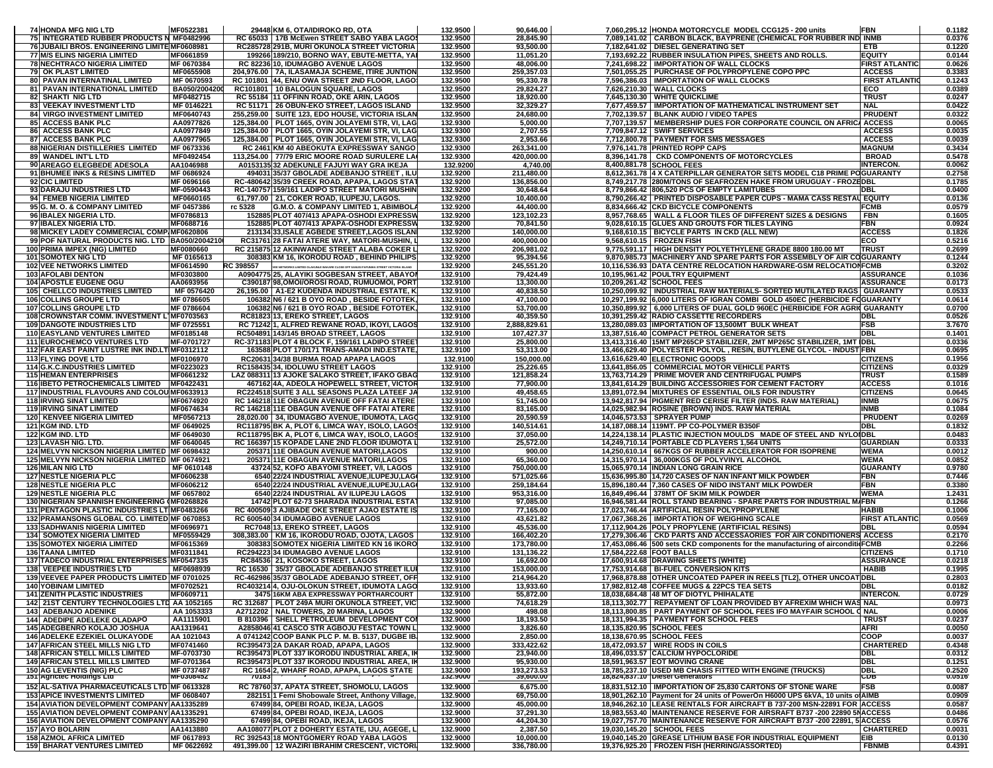| <b>74 HONDA MFG NIG LTD</b>                                           | MF0522381                | 29448 KM 6, OTA/IDIROKO RD, OTA                                                                 | 132.9500             | 90,646.00               |                          | 7,060,295.12 HONDA MOTORCYCLE MODEL CCG125 - 200 units                                                       | <b>FBN</b>            | 0.1182           |
|-----------------------------------------------------------------------|--------------------------|-------------------------------------------------------------------------------------------------|----------------------|-------------------------|--------------------------|--------------------------------------------------------------------------------------------------------------|-----------------------|------------------|
| 75 INTEGRATED RUBBER PRODUCTS N MF0482996                             |                          | RC 65033   17B McEwen STREET SABO YABA LAGOS                                                    | 132.9500             | 28,845.90               |                          | 7,089,141.02   CARBON BLACK, BAYPRENE (CHEMICAL FOR RUBBER IND INMB                                          |                       | 0.0376           |
| 76 JUBAILI BROS. ENGINEERING LIMITE MF0608981                         |                          | RC285728 291B, MURI OKUNOLA STREET VICTORIA                                                     | 132.9500             | 93,500.00               |                          | 7,182,641.02 DIESEL GENERATING SET                                                                           | ETB                   | 0.1220           |
| 77 M/S ELINS NIGERIA LIMITED                                          | MF0661859                | 199266 189/210, BORNO WAY, EBUTE-METTA, YAI                                                     | 132.9500             | 11,051.20               |                          | 7,193,692.22 RUBBER INSULATION PIPES, SHEETS AND ROLLS.                                                      | EQUITY                | 0.0144           |
|                                                                       |                          |                                                                                                 |                      |                         |                          |                                                                                                              |                       |                  |
| <b>78 NECHTRACO NIGERIA LIMITED</b>                                   | MF 0670384               | RC 82236 10, IDUMAGBO AVENUE LAGOS                                                              | 132.9500             | 48,006.00               |                          | 7,241,698.22   IMPORTATION OF WALL CLOCKS                                                                    | <b>FIRST ATLANTIC</b> | 0.0626           |
| <b>79 OK PLAST LIMITED</b>                                            | MF0655908                | 204,976.00 7A, ILASAMAJA SCHEME, ITIRE JUNTION                                                  | 132.9500             | 259,357.03              |                          | 7,501,055.25 PURCHASE OF POLYPROPYLENE COPO PPC                                                              | <b>ACCESS</b>         | 0.3383           |
| 80 PAVAN INTERNATINAL LIMITED                                         | MF 0670593               | RC 101801 44, ENU OWA STREET 2ND FLOOR, LAGOS                                                   | 132.9500             | 95,330.78               |                          | 7,596,386.03   IMPORTATION OF WALL CLOCKS                                                                    | <b>FIRST ATLANTIC</b> | 0.1243           |
| 81 PAVAN INTERNATIONAL LIMITED                                        | BA050/2004200            | RC101801 10 BALOGUN SQUARE, LAGOS                                                               | 132.9500             | 29,824.27               |                          | 7,626,210.30   WALL CLOCKS                                                                                   | ECO                   | 0.0389           |
| <b>82 SHAKTI NIG LTD</b>                                              | MF0482715                | RC 55184 11 OFFINN ROAD, OKE ARIN, LAGOS                                                        | 132.9500             | 18,920.00               |                          | 7,645,130.30 WHITE QUICKLIME                                                                                 | <b>TRUST</b>          | 0.0247           |
|                                                                       |                          |                                                                                                 |                      |                         |                          |                                                                                                              |                       |                  |
| 83 VEEKAY INVESTMENT LTD                                              | MF 0146221               | RC 51171   26 OBUN-EKO STREET, LAGOS ISLAND                                                     | 132.9500             | 32,329.27               |                          | 7,677,459.57   IMPORTATION OF MATHEMATICAL INSTRUMENT SET                                                    | <b>NAL</b>            | 0.0422           |
| <b>84 VIRGO INVESTMENT LIMITED</b>                                    | MF0640743                | 255,259.00 SUITE 123, EDO HOUSE, VICTORIA ISLAN                                                 | 132.9500             | 24,680.00               |                          | 7,702,139.57   BLANK AUDIO / VIDEO TAPES                                                                     | <b>PRUDENT</b>        | 0.0322           |
| <b>85 ACCESS BANK PLC</b>                                             | AA0977826                | 125,384.00   PLOT 1665, OYIN JOLAYEMI STR, VI, LAG                                              | 132.9300             | 5,000.00                |                          | 7,707,139.57   MEMBERSHIP DUES FOR CORPORATE COUNCIL ON AFRIC. ACCESS                                        |                       | 0.0065           |
| 86 ACCESS BANK PLC                                                    | AA0977849                | 125,384.00 PLOT 1665, OYIN JOLAYEMI STR, VI, LAG                                                | 132.9300             | 2,707.55                |                          | 7,709,847.12 SWIFT SERVICES                                                                                  | <b>ACCESS</b>         | 0.0035           |
|                                                                       |                          |                                                                                                 |                      |                         |                          |                                                                                                              |                       |                  |
| 87 ACCESS BANK PLC                                                    | AA0977965                | 125,384.00 PLOT 1665, OYIN JOLAYEMI STR, VI, LAG                                                | 132.9300             | 2,953.66                |                          | 7,712,800.78 PAYMENT FOR SMS MESSAGES                                                                        | <b>ACCESS</b>         | 0.0039           |
| 88 NIGERIAN DISTILLERIES LIMITED                                      | MF 0673336               | RC 2461 KM 40 ABEOKUTA EXPRESSWAY SANGO                                                         | 132.9300             | 263,341.00              |                          | 7.976.141.78 PRINTED ROPP CAPS                                                                               | <b>MAGNUM</b>         | 0.3434           |
| 89 WANDEL INT'L LTD                                                   | MF0492454                | 113,254.00 77/79 ERIC MOORE ROAD SURULERE LA                                                    | 132.9300             | 420,000.00              |                          | 8,396,141.78 CKD COMPONENTS OF MOTORCYCLES                                                                   | <b>BROAD</b>          | 0.5478           |
| 90 AREAGO ELEGBEDE ADESOLA                                            | AA1046988                | A0153135 32 ADEKUNLE FAJUYI WAY GRA IKEJA                                                       | 132.9200             | 4,740.00                |                          | 8,400,881.78 SCHOOL FEES                                                                                     | <b>INTERCON</b>       | 0.0062           |
| 91 BHUMEE INKS & RESINS LIMITED                                       |                          |                                                                                                 |                      |                         |                          |                                                                                                              |                       |                  |
|                                                                       | MF 0686924               | 494031 35/37 GBOLADE ADEBANJO STREET, ILU                                                       | 132.9200             | 211,480.00              |                          | 8,612,361.78 4 X CATERPILLAR GENERATOR SETS MODEL C18 PRIME POGUARANTY                                       |                       | 0.2758           |
| 92 CIC LIMITED                                                        | MF 0696166               | RC-480642 35/39 CREEK ROAD, APAPA, LAGOS STAT                                                   | 132.9200             | 136,856.00              |                          | 8,749,217.78 280M/TONS OF SEAFROZEN HAKE FROM URUGUAY - FROZEDBL                                             |                       | 0.1785           |
| 93 DARAJU INDUSTRIES LTD                                              | MF-0590443               | RC-140757 159/161 LADIPO STREET MATORI MUSHIN                                                   | 132.9200             | 30,648.64               |                          | 8.779.866.42 806.520 PCS OF EMPTY LAMITUBES                                                                  | DBL                   | 0.0400           |
| 94 FEMEB NIGERIA LIMITED                                              | MF0660165                | 61,797.00 21, COKER ROAD, ILUPEJU, LAGOS.                                                       | 132.9200             | 10,400.00               |                          | 8,790,266.42 PRINTED DISPOSABLE PAPER CUPS - MAMA CASS RESTAU EQUITY                                         |                       | 0.0136           |
| 95 G. M. O. & COMPANY LIMITED                                         | MF 0457386               | rc 5328<br>G.M.O. & COMPANY LIMITED 1, ABIMBOLA                                                 | 132.9200             | 44,400.00               |                          | 8,834,666.42 CKD BICYCLE COMPONENTS                                                                          | FCMB                  | 0.0579           |
|                                                                       |                          |                                                                                                 |                      |                         |                          |                                                                                                              |                       |                  |
| 96 IBALEX NIGERIA LTD.                                                | MF0786813                | 152885 PLOT 407/413 APAPA-OSHODI EXPRESSW                                                       | 132.9200             | 123,102.23              |                          | 8,957,768.65   WALL & FLOOR TILES OF DIFFERENT SIZES & DESIGNS                                               | <b>FBN</b>            | 0.1605           |
| 97 IBALEX NIGERIA LTD.                                                | MF0688716                | 152885 PLOT 407/413 APAPA-OSHODI EXPRESSW                                                       | 132.9200             | 70,841.50               |                          | 9,028,610.15 GLUES AND GROUTS FOR TILES LAYING                                                               | FBN                   | 0.0924           |
| 98 MICKEY LADEY COMMERCIAL COMP MF0620806                             |                          | 213134 33, ISALE AGBEDE STREET, LAGOS ISLANI                                                    | 132.9200             | 140,000.00              |                          | 9,168,610.15   BICYCLE PARTS IN CKD (ALL NEW)                                                                | <b>ACCESS</b>         | 0.1826           |
| 99 POF NATURAL PRODUCTS NIG. LTD BA050/2004210                        |                          | RC31761 28 FATAI ATERE WAY, MATORI-MUSHIN, L                                                    | 132.9200             | 400,000.00              |                          | 9,568,610.15   FROZEN FISH                                                                                   | ECO                   | 0.5216           |
|                                                                       |                          |                                                                                                 |                      |                         |                          |                                                                                                              |                       |                  |
| 100 PRIMA IMPEX (NIG) LIMITED                                         | MF0080660                | RC 215875 12 AKINWANDE STREET ALABA COKER L                                                     | 132.9200             | 206,981.02              |                          | 9,775,591.17   HIGH DENSITY POLYETHYLENE GRADE 8800 180.00 MT                                                | <b>TRUST</b>          | 0.2699           |
| <b>101 SOMOTEX NIG LTD</b>                                            | MF 0165613               | 308383 KM 16, IKORODU ROAD, BEHIND PHILIPS                                                      | 132.9200             | 95,394.56               |                          | 9,870,985.73 MACHINERY AND SPARE PARTS FOR ASSEMBLY OF AIR COGUARANTY                                        |                       | 0.1244           |
| <b>102 VEE NETWORKS LIMITED</b>                                       | MF0614590                | RC 398557<br>E NETWORKS LIMITED OLAKUNLE BAKARE CLOSE OFF SANUSI FAFUNWA STREET VICTORIA ISLAND | 132.9200             | 245,551.20              |                          | 10,116,536.93 DATA CENTRE RELOCATION HARDWARE-GSM RELOCATION FCMB                                            |                       | 0.3202           |
| 103 AFOLABI DENTON                                                    | MF0303800                | A0904775 25, ALAYIKI SOGBESAN STREET, ABAYON                                                    | 132.9100             | 79,424.49               |                          | 10,195,961.42 POULTRY EQUIPMENT                                                                              | <b>ASSURANCE</b>      | 0.1036           |
| <b>104 APOSTLE EUGENE OGU</b>                                         | AA0693956                | C390187 98.OMOI/OROSI ROAD, RUMUOMOI, PORT                                                      | 132.9100             | 13,300.00               |                          | 10,209,261.42 SCHOOL FEES                                                                                    | <b>ASSURANCE</b>      | 0.0173           |
|                                                                       |                          |                                                                                                 |                      |                         |                          |                                                                                                              |                       |                  |
| <b>105 CHELLCO INDUSTRIES LIMITED</b>                                 | MF 0576420               | 26,195.00   A1-E2 KUDENDA INDUSTRIAL ESTATE, K                                                  | 132.9100             | 40,838.50               |                          | 10,250,099.92   INDUSTRIAL RAW MATERIALS- SORTED MUTILATED RAGS   GUARANTY                                   |                       | 0.0533           |
| <b>106 COLLINS GROUPE LTD</b>                                         | MF 0786605               | 106382 N6 / 621 B OYO ROAD, BESIDE FOTOTEK,                                                     | 132.9100             | 47,100.00               |                          | 10,297,199.92 6,000 LITERS OF IGRAN COMBI GOLD 450EC (HERBICIDE FOGUARANTY                                   |                       | 0.0614           |
| <b>107 COLLINS GROUPE LTD</b>                                         | MF 0786604               | 106382 N6 / 621 B OYO ROAD, BESIDE FOTOTEK,                                                     | 132.9100             | 53,700.00               |                          | 10,350,899.92   6,000 LITERS OF DUAL GOLD 960EC (HERBICIDE FOR AGRII GUARANTY                                |                       | 0.0700           |
| 108 CROWNSTAR COMM. INVESTMENT L'MF0703563                            |                          | RC81823 13, EREKO STREET, LAGOS                                                                 | 132.9100             | 40,359.50               |                          | 10,391,259.42 RADIO CASSETTE RECORDERS                                                                       | DBL                   | 0.0526           |
|                                                                       |                          |                                                                                                 |                      |                         |                          |                                                                                                              |                       |                  |
| <b>109 DANGOTE INDUSTRIES LTD</b>                                     | MF 0725551               | RC 71242 1, ALFRED REWANE ROAD, IKOYI, LAGOS                                                    | 132.9100             | 2,888,829.61            |                          | 13,280,089.03 IMPORTATION OF 13,500MT BULK WHEAT                                                             | <b>FSB</b>            | 3.7670           |
| <b>110 EASYLAND VENTURES LIMITED</b>                                  | MF0185148                | RC504891 143/145 BROAD STREET, LAGOS                                                            | 132.9100             | 107,427.37              |                          | 13,387,516.40 COMPACT PETROL GENERATOR SETS                                                                  | <b>DBL</b>            | 0.1401           |
| <b>111 EUROCHEMCO VENTURES LTD</b>                                    | MF-0701727               | RC-371183 PLOT 4 BLOCK F. 159/161 LADIPO STREET                                                 | 132.9100             | 25,800.00               |                          | 13,413,316.40   15MT MP265CP STABILIZER, 2MT MP265C STABILIZER, 1MT   DBL                                    |                       | 0.0336           |
| 112 FAR EAST PAINT LUSTRE INK IND.LT MF0312112                        |                          | 163588 PLOT 170/171 TRANS-AMADI IND.ESTATE,                                                     | 132.9100             | 53,313.00               |                          | 13,466,629.40 POLYESTER POLYOL, RESIN, BUTYLENE GLYCOL - INDUST FBN                                          |                       | 0.0695           |
|                                                                       |                          |                                                                                                 |                      |                         |                          |                                                                                                              |                       | 0.1956           |
| 113 FLYING DOVE LTD                                                   | MF0106970                | RC20631 34/38 BURMA ROAD APAPA LAGOS                                                            | 132.9100             | 150,000.00              |                          | 13,616,629.40 ELECTRONIC GOODS                                                                               | <b>CITIZENS</b>       |                  |
| <b>114 G.K.C.INDUSTRIES LIMITED</b>                                   | MF0223023                | RC158435 34, IDOLUWU STREET LAGOS                                                               | 132.9100             | 25,226.65               |                          | 13,641,856.05 COMMERCIAL MOTOR VEHICLE PARTS                                                                 | <b>CITIZENS</b>       | 0.0329           |
| <b>115 HEMAN ENTERPRISES</b>                                          | MF0661232                | LAZ 088311 13 AJOKE SALAKO STREET, IFAKO GBAG                                                   | 132.9100             | 121,858.24              |                          | 13,763,714.29 PRIME MOVER AND CENTRIFUGAL PUMPS                                                              | <b>TRUST</b>          | 0.1589           |
| <b>116 IBETO PETROCHEMICALS LIMITED</b>                               | MF0422431                | 467162 4A, ADEOLA HOPEWELL STREET, VICTOR                                                       | 132.9100             | 77,900.00               |                          | 13,841,614.29 BUILDING ACCESSORIES FOR CEMENT FACTORY                                                        | <b>ACCESS</b>         | 0.1016           |
| 117 INDUSTRIAL FLAVOURS AND COLOU MF0633913                           |                          | RC224518 SUITE 3 ALL SEASONS PLAZA LATEEF JA                                                    | 132.9100             | 49,458.65               |                          | 13,891,072.94 MIXTURES OF ESSENTIAL OILS FOR INDUSTRY                                                        | <b>CITIZENS</b>       | 0.0645           |
|                                                                       |                          |                                                                                                 |                      |                         |                          |                                                                                                              |                       |                  |
| <b>118 IRVING SINAT LIMITED</b>                                       | MF0674920                | RC 146218 11E OBAGUN AVENUE OFF FATAI ATERE                                                     | 132.9100             | 51,745.00               |                          | 13,942,817.94 PIGMENT RED CERISE FILTER (INDS. RAW MATERIAL)                                                 | INMB                  | 0.0675           |
| <b>119 IRVING SINAT LIMITED</b>                                       | MF0674634                | RC 146218 11E OBAGUN AVENUE OFF FATAI ATERE                                                     | 132.9100             | 83,165.00               |                          | 14,025,982.94 ROSINE (BROWN) INDS. RAW MATERIAL                                                              | <b>INMB</b>           | 0.1084           |
| <b>120 KENVEE NIGERIA LIMITED</b>                                     | MF0567213                | 28,020.00 34, IDUMAGBO AVENUE, IDUMOTA, LAGO                                                    | 132.9100             | 20,590.59               |                          | 14,046,573.53 SPRAYER PUMP                                                                                   | <b>PRUDENT</b>        | 0.0269           |
| 121 KGM IND. LTD                                                      | MF 0649025               | RC118795 BK A, PLOT 6, LIMCA WAY, ISOLO, LAGOS                                                  | 132.9100             | 140,514.61              |                          | 14,187,088.14 119MT. PP CO-POLYMER B350F                                                                     | DBL                   | 0.1832           |
| 122 KGM IND. LTD                                                      | MF 0649030               | RC118795 BK A, PLOT 6, LIMCA WAY, ISOLO, LAGOS                                                  | 132.9100             | 37,050.00               |                          | 14,224,138.14 PLASTIC INJECTION MOULDS MADE OF STEEL AND NYLOIDBL                                            |                       | 0.0483           |
|                                                                       |                          |                                                                                                 |                      |                         |                          |                                                                                                              |                       |                  |
| 123 LAVASH NIG. LTD.                                                  | MF 0640045               | RC 166397 15 KOPADE LANE 2ND FLOOR IDUMOTA L                                                    | 132.9100             | 25,572.00               |                          | 14,249,710.14 PORTABLE CD PLAYERS 1,564 UNITS                                                                | <b>GUARDIAN</b>       | 0.0333           |
| 124 MELVYN NICKSON NIGERIA LIMITED MF 0698432                         |                          | 205371 11E OBAGUN AVENUE MATORI, LAGOS                                                          | 132.9100             | 900.00                  |                          | 14,250,610.14 667KGS OF RUBBER ACCELERATOR FOR ISOPRENE                                                      | <b>WEMA</b>           | 0.0012           |
| 125 MELVYN NICKSON NIGERIA LIMITED MF 0674921                         |                          | 205371 11E OBAGUN AVENUE MATORI, LAGOS                                                          | 132.9100             | 65,360.00               |                          | 14,315,970.14 36,000KGS OF POLYVINYL ALCOHOL                                                                 | WEMA                  | 0.0852           |
| 126 MILAN NIG LTD                                                     | MF 0610148               | 43724 52, KOFO ABAYOMI STREET, V/I, LAGOS                                                       | 132.9100             | 750,000.00              |                          | 15,065,970.14 INDIAN LONG GRAIN RICE                                                                         | <b>GUARANTY</b>       | 0.9780           |
|                                                                       | MF0606238                | 6540 22/24 INDUSTRIAL AVENUE, ILUPEJU, LAGO                                                     |                      |                         |                          | 15,636,995.80 14,720 CASES OF NAN INFANT MILK POWDER                                                         |                       | 0.7446           |
| <b>127 NESTLE NIGERIA PLC</b>                                         |                          |                                                                                                 | 132.9100             | 571,025.66              |                          |                                                                                                              | FBN                   |                  |
| <b>128 NESTLE NIGERIA PLC</b>                                         | MF0606212                | 6540 22/24 INDUSTRIAL AVENUE, ILUPEJU, LAGO                                                     | 132.9100             | 259,184.64              |                          | 15,896,180.44 7,360 CASES OF NIDO INSTANT MILK POWDER                                                        | FBN                   | 0.3380           |
| <b>129 NESTLE NIGERIA PLC</b>                                         | MF 0657802               | 6540 22/24 INDUSTRIAL AV ILUPEJU LAGOS                                                          | 132.9100             | 953,316.00              |                          | 16,849,496.44 378MT OF SKIM MILK POWDER                                                                      | <b>WEMA</b>           | 1.2431           |
| 130 NIGERIAN SPANNISH ENGINEERING (MF0268826                          |                          | 14742 PLOT 62-73 SHARADA INDUSTRIAL ESTAT                                                       | 132.9100             | 97,085.00               |                          | 16,946,581.44 ROLL STAND BEARING - SPARE PARTS FOR INDUSTRIAL M/FBN                                          |                       | 0.1266           |
| 131 PENTAGON PLASTIC INDUSTRIES LTIMF0483266                          |                          | RC 400509 3 AJIBADE OKE STREET AJAO ESTATE IS                                                   | 132.9100             | 77,165.00               |                          | 17.023.746.44 ARTIFICIAL RESIN POLYPROPYLENE                                                                 | <b>HABIB</b>          | 0.1006           |
|                                                                       |                          |                                                                                                 |                      |                         |                          | 17,067,368.26   IMPORTATION OF WEIGHING SCALE                                                                |                       |                  |
| 132 PRAMANSONS GLOBAL CO. LIMITED MF 0670853                          |                          | RC 600540 34 IDUMAGBO AVENUE LAGOS                                                              | 132.9100             | 43,621.82               |                          |                                                                                                              | <b>FIRST ATLANTIC</b> | 0.0569           |
| <b>133 SADHWANIS NIGERIA LIMITED</b>                                  | MF0696971                | RC7048 13, EREKO STREET, LAGOS                                                                  | 132.9100             | 45,536.00               |                          | 17,112,904.26 POLY PROPYLENE (ARTIFICIAL RESINS)                                                             | <b>DBL</b>            | 0.0594           |
| <b>134 SOMOTEX NIGERIA LIMITED</b>                                    | MF0559429                | 308,383.00   KM 16, IKORODU ROAD, OJOTA, LAGOS                                                  | 132.9100             | 166,402.20              |                          | 17,279,306.46   CKD PARTS AND ACCESSAORIES FOR AIR CONDITIONERS ACCESS                                       |                       | 0.2170           |
| <b>135 SOMOTEX NIGERIA LIMITED</b>                                    | MF0615369                | 308383 SOMOTEX NIGERIA LIMITED KN 16 IKORO                                                      | 132.9100             | 173,780.00              |                          | 17,453,086.46 500 sets CKD components for the manufacturing of airconditi(FCMB                               |                       | 0.2266           |
| <b>136 TAANA LIMITED</b>                                              | MF0311841                | RC294223 34 IDUMAGBO AVENUE LAGOS                                                               | 132.9100             | 131,136.22              | 17,584,222.68 FOOT BALLS |                                                                                                              | <b>CITIZENS</b>       | 0.1710           |
|                                                                       |                          | RC84536 21, KOSOKO STREET, LAGOS                                                                | 132.9100             |                         |                          |                                                                                                              | <b>ASSURANCE</b>      | 0.0218           |
| 137 TADECO INDUSTRIAL ENTERPRISES MF0547335                           |                          |                                                                                                 |                      | 16,692.00               |                          | 17,600,914.68 DRAWING SHEETS (WHITE)                                                                         |                       |                  |
| <b>138 VEEPEE INDUSTRIES LTD</b>                                      | MF0698939                | RC 16530 35/37 GBOLADE ADEBANJO STREET ILUI                                                     | 132.9100             | 153,000.00              |                          | 17,753,914.68 BI-FUEL CONVERSION KITS                                                                        | <b>HABIB</b>          | 0.1995           |
| 139 VEEVEE PAPER PRODUCTS LIMITED MF 0701025                          |                          |                                                                                                 |                      |                         |                          | 17,968,878.88 OTHER UNCOATED PAPER IN REELS [TL2], OTHER UNCOAT DBL                                          |                       | 0.2803           |
|                                                                       |                          | RC-462986 35/37 GBOLADE ADEBANJO STREET, OFF                                                    | 132.9100             | 214.964.20              |                          |                                                                                                              |                       | 0.0182           |
| <b>140 YOBINAM LIMITED</b>                                            | <b>MF0702521</b>         | RC403214 4. O.IU-OLOKUN STREET, IDUMOTA LAGO                                                    | 132,9100             | 13 933 60               |                          | 17.982.812.48 COFFEE MUGS & 22PCS TEA SETS                                                                   |                       | 0.0729           |
|                                                                       |                          |                                                                                                 |                      |                         |                          |                                                                                                              |                       |                  |
| <b>141 ZENITH PLASTIC INDUSTRIES</b>                                  | MF0609711                | 3475 16KM ABA EXPRESSWAY PORTHARCOURT                                                           | 132.9100             | 55,872.00               |                          | 18,038,684.48 48 MT OF DIOTYL PHIHALATE                                                                      | <b>INTERCON.</b>      |                  |
| 142 21ST CENTURY TECHNOLOGIES LTD AA 1052165                          |                          | RC 312687   PLOT 249A MURI OKUNOLA STREET, VIC                                                  | 132.9000             | 74,618.29               |                          | 18,113,302.77   REPAYMENT OF LOAN PROVIDED BY AFREXIM WHICH WAS NAL                                          |                       | 0.0973           |
| <b>143 ADEBANJO ADENIKE</b>                                           | AA 1053333               | A2712202   NAL TOWERS, 20 MARINA, LAGOS                                                         | 132.9000             | 498.08                  |                          | 18,113,800.85 PART PAYMENT OF SCHOOL FEES IFO MAYFAIR SCHOOL ( NAL                                           |                       | 0.0006           |
| 144 ADEDIPE ADELEKE OLADAPO                                           | AA1115901                | B 810396 SHELL PETROLEUM DEVELOPMENT COI                                                        | 132.9000             | 18,193.50               |                          | 18,131,994.35 PAYMENT FOR SCHOOL FEES                                                                        | <b>TRUST</b>          | 0.0237           |
| 145 ADEGBENRO KOLAJO JOSHUA                                           | AA1319641                | A2858046 41 CASCO STR AGBOJU FESTAC TOWN L                                                      | 132.9000             | 3,826.60                |                          | 18,135,820.95 SCHOOL FEES                                                                                    | AFRI                  | 0.0050           |
|                                                                       |                          |                                                                                                 |                      |                         |                          |                                                                                                              |                       |                  |
| <b>146 ADELEKE EZEKIEL OLUKAYODE</b>                                  | AA 1021043               | A 0741242 COOP BANK PLC P. M. B. 5137, DUGBE IB.                                                | 132.9000             | 2,850.00                |                          | 18,138,670.95 SCHOOL FEES                                                                                    | <b>COOP</b>           | 0.0037           |
| <b>147 AFRICAN STEEL MILLS NIG LTD</b>                                | MF0741460                | RC395473 2A DAKAR ROAD, APAPA, LAGOS                                                            | 132.9000             | 333,422.62              |                          | 18,472,093.57 WIRE RODS IN COILS                                                                             | <b>CHARTERED</b>      | 0.4348           |
| <b>148 AFRICAN STELL MILLS LIMITED</b>                                | MF-0703730               | RC395473 PLOT 337 IKORODU INDUSTRIAL AREA, IM                                                   | 132.9000             | 23,940.00               |                          | 18,496,033.57 CALCIUM HYPOCLORIDE                                                                            | DBL                   | 0.0312           |
| <b>149 AFRICAN STELL MILLS LIMITED</b>                                | MF-0701364               | RC395473 PLOT 337 IKORODU INDUSTRIAL AREA, IK                                                   | 132.9000             | 95,930.00               |                          | 18,591,963.57 EOT MOVING CRANE                                                                               | DBL                   | 0.1251           |
| 150 AG LEVENTIS (NIG) PLC                                             | MF 0737487               |                                                                                                 | 132.9000             | 193,273.53              |                          | 18,785,237.10 USED MB CHASIS FITTED WITH ENGINE (TRUCKS)                                                     | DBL                   | 0.2520           |
| τ <del>ο</del> τ Agrictec Holdings έτα                                | <b>MFU3U8432</b>         | RC 1654 2, WHARF ROAD, APAPA, LAGOS STATE                                                       | 132.9000             | 39,000.00               |                          | 18,824,837.10 Diesel Generators                                                                              | ᡂ                     | 0.0516           |
|                                                                       |                          |                                                                                                 |                      |                         |                          |                                                                                                              |                       |                  |
| 152 AL-SATIVA PHARMACEUTICALS LTD MF 0613328                          |                          | RC 78760 37, APATA STREET, SHOMOLU, LAGOS                                                       | 132.9000             | 6,675.00                |                          | 18,831,512.10   IMPORTATION OF 25,830 CARTONS OF STONE WARE                                                  | FSB                   | 0.0087           |
| <b>153 APICE INVESTMENTS LIMITED</b>                                  | MF 0608407               | 282151 1 Femi Shobowale Street, Anthony Village,                                                | 132.9000             | 69,750.00               |                          | 18,901,262.10 Payment for 24 units of PowerOn H6000 UPS 6kVA, 10 units o AIMB                                |                       | 0.0909           |
| 154 AVIATION DEVELOPMENT COMPANY AA1335289                            |                          | 67499 84, OPEBI ROAD, IKEJA, LAGOS                                                              | 132.9000             | 45,000.00               |                          | 18,946,262.10 LEASE RENTALS FOR AIRCRAFT B 737-200 MSN-22891 FOR ACCESS                                      |                       | 0.0587           |
| 155 AVIATION DEVELOPMENT COMPANY AA1335291                            |                          | 67499 84, OPEBI ROAD, IKEJA, LAGOS                                                              | 132.9000             |                         |                          | 18,983,553.40 MAINTENANCE RESERVE FOR AIRSRAFT B737 - 200 22890 5N ACCESS                                    |                       | 0.0486           |
|                                                                       |                          |                                                                                                 |                      | 37,291.30               |                          |                                                                                                              |                       |                  |
| 156 AVIATION DEVELOPMENT COMPANY AA1335290                            |                          | 67499 84, OPEBI ROAD, IKEJA, LAGOS                                                              | 132.9000             | 44,204.30               |                          | 19,027,757.70 MAINTENANCE RESERVE FOR AIRCRAFT B737 -200 22891, 5 ACCESS                                     |                       | 0.0576           |
| <b>157 AYO BOLARIN</b>                                                | AA1413880                | AA108077 PLOT 2 DOHERTY ESTATE, IJU, AGEGE, L                                                   | 132.9000             | 2,387.50                |                          | 19,030,145.20 SCHOOL FEES                                                                                    | <b>CHARTERED</b>      | 0.0031           |
| <b>158 AZMOL AFRICA LIMITED</b><br><b>159 BHARAT VENTURES LIMITED</b> | MF 0617893<br>MF 0622692 | RC 392543 18 MONTGOMERY ROAD YABA LAGOS<br>491,399.00 12 WAZIRI IBRAHIM CRESCENT, VICTORI       | 132.9000<br>132.9000 | 10,000.00<br>336,780.00 |                          | 19,040,145.20 GREASE LITHIUM BASE FOR INDUSTRIAL EQUIPMENT<br>19,376,925.20   FROZEN FISH (HERRING/ASSORTED) | EIB<br><b>FBNMB</b>   | 0.0130<br>0.4391 |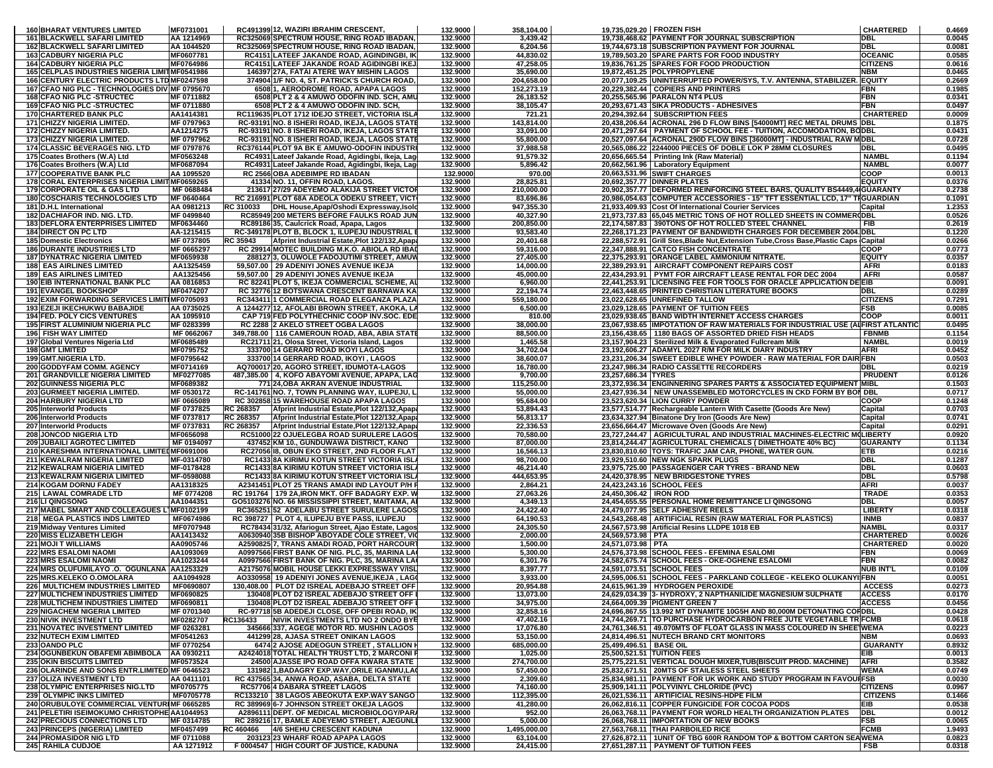| <b>160 BHARAT VENTURES LIMITED</b>                                                  | MF0731001                |                 | RC491399 12. WAZIRI IBRAHIM CRESCENT                                                             | 132.9000             | 358,104.00              |                          | 19.735.029.20 FROZEN FISH                                                                                                                              | <b>CHARTERED</b>                   | 0.4669           |
|-------------------------------------------------------------------------------------|--------------------------|-----------------|--------------------------------------------------------------------------------------------------|----------------------|-------------------------|--------------------------|--------------------------------------------------------------------------------------------------------------------------------------------------------|------------------------------------|------------------|
| <b>161 BLACKWELL SAFARI LIMITED</b>                                                 | AA 1214969               |                 | RC325069 SPECTRUM HOUSE, RING ROAD IBADAN,                                                       | 132.9000             | 3,439.42                |                          | 19,738,468.62 PAYMENT FOR JOURNAL SUBSCRIPTION                                                                                                         | DBL                                | 0.0045           |
| <b>162 BLACKWELL SAFARI LIMITED</b><br><b>163 CADBURY NIGERIA PLC</b>               | AA 1044520<br>MF0607781  |                 | RC325069 SPECTRUM HOUSE, RING ROAD IBADAN,                                                       | 132.9000<br>132.9000 | 6,204.56<br>44,830.02   |                          | 19,744,673.18 SUBSCRIPTION PAYMENT FOR JOURNAL                                                                                                         | <b>DBL</b><br><b>OCEANIC</b>       | 0.0081<br>0.0585 |
| <b>164 CADBURY NIGERIA PLC</b>                                                      | MF0764986                |                 | RC4151 LATEEF JAKANDE ROAD, AGINDINGBI, IK<br><b>RC4151 LATEEF JAKANDE ROAD AGIDINGBI IKEJ</b>   | 132.9000             | 47,258.05               |                          | 19,789,503.20 SPARE PARTS FOR FOOD INDUSTRY<br>19,836,761.25 SPARES FOR FOOD PRODUCTION                                                                | <b>CITIZENS</b>                    | 0.0616           |
| 165 CELPLAS INDUSTRIES NIGERIA LIMITMF0541986                                       |                          |                 | 146397 27A, FATAI ATERE WAY MISHIN LAGOS                                                         | 132.9000             | 35,690.00               |                          | 19,872,451.25 POLYPROPYLENE                                                                                                                            | <b>NBM</b>                         | 0.0465           |
| 166 CENTURY ELECTRIC PRODUCTS LTD MF0247598                                         |                          |                 | 374904 1/F NO. 4, ST. PATRICK'S CHURCH ROAD,                                                     | 132.9000             | 204,658.00              |                          | 20,077,109.25 UNINTERRUPTED POWER/SYS, T.V. ANTENNA, STABILIZER. EQUITY                                                                                |                                    | 0.2669           |
| 167 CFAO NIG PLC - TECHNOLOGIES DIV MF 0795670                                      |                          |                 | 6508 1, AERODROME ROAD, APAPA LAGOS                                                              | 132.9000             | 152,273.19              |                          | 20.229.382.44 COPIERS AND PRINTERS                                                                                                                     | <b>FBN</b>                         | 0.1985           |
| <b>168 CFAO NIG PLC -STRUCTEC</b>                                                   | MF 0711882               |                 | 6508 PLT 2 & 4 AMUWO ODOFIN IND. SCH, AMU                                                        | 132.9000             | 26,183.52               |                          | 20,255,565.96 PARALON NT4 PLUS                                                                                                                         | <b>FBN</b>                         | 0.0341           |
| 169 CFAO NIG PLC -STRUCTEC                                                          | MF 0711880               |                 | 6508 PLT 2 & 4 AMUWO ODOFIN IND. SCH,                                                            | 132.9000             | 38,105.47               |                          | 20,293,671.43 SIKA PRODUCTS - ADHESIVES                                                                                                                | <b>FBN</b>                         | 0.0497           |
| 170 CHARTERED BANK PLC                                                              | AA1414381                |                 | RC119635 PLOT 1712 IDEJO STREET, VICTORIA ISLA                                                   | 132.9000             | 721.21                  |                          | 20,294,392.64 SUBSCRIPTION FEES                                                                                                                        | <b>CHARTERED</b>                   | 0.0009           |
| 171 CHIZZY NIGERIA LIMITED.<br><b>172 CHIZZY NIGERIA LIMITED.</b>                   | MF 0797963<br>AA1214275  |                 | RC-93191 NO. 8 ISHERI ROAD, IKEJA, LAGOS STATE<br>RC-93191 NO. 8 ISHERI ROAD, IKEJA, LAGOS STATE | 132.9000<br>132.9000 | 143,814.00<br>33,091.00 |                          | 20,438,206.64 ACRONAL 296 D FLOW BINS [54000MT] REC METAL DRUMS DBL<br>20,471,297.64 PAYMENT OF SCHOOL FEE - TUITION, ACCOMODATION, BODBL              |                                    | 0.1875<br>0.0431 |
| 173 CHIZZY NIGERIA LIMITED.                                                         | MF 0797962               |                 | RC-93191 NO. 8 ISHERI ROAD, IKEJA, LAGOS STATE                                                   | 132.9000             | 55,800.00               |                          | 20,527,097.64 ACRONAL 290D FLOW BINS [36000MT] - INDUSTRIAL RAW M DBL                                                                                  |                                    | 0.0728           |
| 174 CLASSIC BEVERAGES NIG. LTD                                                      | MF 0797876               |                 | RC376144 PLOT 9A BK E AMUWO-ODOFIN INDUSTRI                                                      | 132.9000             | 37,988.58               |                          | 20,565,086.22 2244000 PIECES OF DOBLE LOK P 28MM CLOSURES                                                                                              | DBL                                | 0.0495           |
| 175 Coates Brothers (W.A) Ltd                                                       | MF0563248                |                 | RC4931 Lateef Jakande Road, Agidingbi, Ikeja, Lag                                                | 132.9000             | 91,579.32               |                          | 20,656,665.54 Printing Ink (Raw Material)                                                                                                              | <b>NAMBL</b>                       | 0.1194           |
| 176 Coates Brothers (W.A) Ltd                                                       | MF0687094                |                 | RC4931 Lateef Jakande Road, Agidingbi, Ikeja, Lag                                                | 132.9000             | 5,896.42                |                          | 20,662,561.96   Laboratory Equipment                                                                                                                   | <b>NAMBL</b>                       | 0.0077           |
| <b>177 COOPERATIVE BANK PLC</b>                                                     | AA 1095520               |                 | RC 2566 OBA ADEBIMPE RD IBADAN                                                                   | 132.9000             | 970.00                  |                          | 20,663,531.96 SWIFT CHARGES                                                                                                                            | COOP                               | 0.0013           |
| 178 CORAL ENTERPRISES NIGERIA LIMIT MF0659265                                       |                          |                 | 41334 NO. 11, OFFIN ROAD, LAGOS.                                                                 | 132.9000             | 28,825.81               |                          | 20,692,357.77 DINNER PLATES                                                                                                                            | <b>EQUITY</b>                      | 0.0376           |
| 179 CORPORATE OIL & GAS LTD<br><b>180 COSCHARIS TECHNOLOGIES LTD</b>                | MF 0688484<br>MF 0640464 |                 | 213617 27/29 ADEYEMO ALAKIJA STREET VICTOR<br>RC 216991 PLOT 68A ADEOLA ODEKU STREET, VICT       | 132.9000<br>132.9000 | 210,000.00<br>83,696.86 |                          | 20,902,357.77 DEFORMED REINFORCING STEEL BARS, QUALITY BS4449,4 GUARANTY<br>20,986,054.63 COMPUTER ACCESSORIES - 15" TFT ESSENTIAL LCD, 17" TIGUARDIAN |                                    | 0.2738<br>0.1091 |
| 181 D.H.L International                                                             | AA 0981213               | RC 310033       | DHL House, Apap/Oshodi Expressway, Isolo                                                         | 132.9000             | 947,355.30              |                          | 21,933,409.93 Cost Of International Courier Services                                                                                                   | Capital                            | 1.2353           |
| 182 DACHIAFOR IND. NIG. LTD.                                                        | MF 0499840               |                 | RC85949 200 METERS BEFORE FAULKS ROAD JUN                                                        | 132.9000             | 40,327.90               |                          | 21,973,737.83 65,045 METRIC TONS OF HOT ROLLED SHEETS IN COMMER(DBL                                                                                    |                                    | 0.0526           |
| <b>183 DEFLORA ENTERPRISES LIMITED</b>                                              | MF0634460                |                 | RC89186 35, Caulcrick Road, Apapa, Lagos                                                         | 132.9000             | 200,850.00              |                          | 22,174,587.83 390TONS OF HOT ROLLED STEEL CHANNEL                                                                                                      | <b>FIB</b>                         | 0.2619           |
| <b>184 DIRECT ON PC LTD</b>                                                         | AA-1215415               |                 | RC-349178 PLOT B, BLOCK 1, ILUPEJU INDUSTRIAL B                                                  | 132.9000             | 93,583.40               |                          | 22,268,171.23 PAYMENT OF BANDWIDTH CHARGES FOR DECEMBER 2004. DBL                                                                                      |                                    | 0.1220           |
| <b>185 Domestic Electronics</b>                                                     | MF 0737805               | <b>RC 35943</b> | Afprint Industrial Estate, Plot 122/132, Apapa                                                   | 132.9000             | 20,401.68               |                          | 22,288,572.91 Grill Stes, Blade Nut, Extension Tube, Cross Base, Plastic Caps Capital                                                                  |                                    | 0.0266           |
| <b>186 DURANTE INDUSTRIES LTD</b><br><b>187 DYNATRAC NIGERIA LIMITED</b>            | MF 0665297<br>MF0659938  |                 | RC 29914 MOTEC BUILDING M.K.O. ABIOLA RD IBAD<br>288127 3, OLUWOLE FADOJUTIMI STREET, AMUW       | 132.9000<br>132.9000 | 59,316.00<br>27,405.00  |                          | 22,347,888.91 CATCO FISH CONCENTRATE<br>22,375,293.91 ORANGE LABEL AMMONIUM NITRATE.                                                                   | COOP<br><b>EQUITY</b>              | 0.0773<br>0.0357 |
| <b>188 EAS AIRLINES LIMITED</b>                                                     | AA1325459                |                 | 59,507.00 29 ADENIYI JONES AVENUE IKEJA                                                          | 132.9000             | 14,000.00               |                          | 22,389,293.91   AIRCRAFT COMPONENT REPAIRS COST                                                                                                        | <b>AFRI</b>                        | 0.0183           |
| <b>189 EAS AIRLINES LIMITED</b>                                                     | AA1325456                |                 | 59,507.00 29 ADENIYI JONES AVENUE IKEJA                                                          | 132.9000             | 45,000.00               |                          | 22.434.293.91 PYMT FOR AIRCRAFT LEASE RENTAL FOR DEC 2004                                                                                              | <b>AFRI</b>                        | 0.0587           |
| <b>190 EIB INTERNATIONAL BANK PLC</b>                                               | AA 0816853               |                 | RC 82241 PLOT 5, IKEJA COMMERCIAL SCHEME, AL                                                     | 132.9000             | 6,960.00                |                          | 22,441,253.91 LICENSING FEE FOR TOOLS FOR ORACLE APPLICATION DE EIB                                                                                    |                                    | 0.0091           |
| <b>191 EVANGEL BOOKSHOP</b>                                                         | MF0474207                |                 | RC 32776 12 BOTSWANA CRESCENT BARNAWA KA                                                         | 132.9000             | 22,194.74               |                          | 22,463,448.65 PRINTED CHRISTIAN LITERATURE BOOKS                                                                                                       | DBL                                | 0.0289           |
| 192 EXIM FORWARDING SERVICES LIMITIMF0705093                                        |                          |                 | RC343411 1 COMMERCIAL ROAD ELEGANZA PLAZA                                                        | 132.9000             | 559,180.00              |                          | 23,022,628.65 UNREFINED TALLOW                                                                                                                         | <b>CITIZENS</b>                    | 0.7291           |
| <b>193 EZEJI IKECHUKWU BABAJIDE</b>                                                 | AA 0735025               |                 | A 1244277 12, AFOLABI BROWN STREET, AKOKA, LA                                                    | 132.9000             | 6,500.00                |                          | 23,029,128.65 PAYMENT OF TUITION FEES                                                                                                                  | FSB                                | 0.0085           |
| 194 FED. POLY CICS VENTURES<br><b>195 FIRST ALUMINIUM NIGERIA PLC</b>               | AA 1095910<br>MF 0283399 |                 | CAP 719 FED POLYTHECHNIC COOP INV.SOC. EDE<br>RC 2288 2 AKELO STREET OGBA LAGOS                  | 132.9000<br>132.9000 | 810.00<br>38,000.00     |                          | 23,029,938.65 BAND WIDTH INTERNET ACCESS CHARGES<br>23,067,938.65 IMPOTATION OF RAW MATERIALS FOR INDUSTRIAL USE (ALFIRST ATLANTIC                     | <b>COOP</b>                        | 0.0011<br>0.0495 |
| 196 FISH WAY LIMITED                                                                | MF 0662067               |                 | 349,788.00 116 CAMEROUN ROAD, ABA, ABIA STATE                                                    | 132.9000             | 88,500.00               |                          | 23,156,438.65   1180 BAGS OF ASSORTED DRIED FISH HEADS                                                                                                 | <b>FBNMB</b>                       | 0.1154           |
| 197 Global Ventures Nigeria Ltd                                                     | MF0685489                |                 | RC21711 21, Olosa Street, Victoria Island, Lagos                                                 | 132.9000             | 1,465.58                |                          | 23,157,904.23 Sterilized Milk & Evaporated Fullcream Milk                                                                                              | <b>NAMBL</b>                       | 0.0019           |
| 198 GMT LIMITED                                                                     | MF0795752                |                 | 333700 14 GERARD ROAD IKOYI LAGOS                                                                | 132.9000             | 34,702.04               |                          | 23,192,606.27 ADAMYL 2027 R/M FOR MILK DIARY INDUSTRY                                                                                                  | <b>AFRI</b>                        | 0.0452           |
| 199 GMT.NIGERIA LTD.                                                                | MF0795642                |                 | 333700 14 GERRARD ROAD, IKOYI, LAGOS                                                             | 132.9000             | 38,600.07               |                          | 23,231,206.34 SWEET EDIBLE WHEY POWDER - RAW MATERIAL FOR DAIR FBN                                                                                     |                                    | 0.0503           |
| 200 GODDYFAM COMM. AGENCY                                                           | MF0714169                |                 | AQ700017 20, AGORO STREET, IDUMOTA-LAGOS                                                         | 132.9000             | 16,780.00               |                          | 23,247,986.34 RADIO CASSETTE RECORDERS                                                                                                                 | DBL                                | 0.0219           |
| 201 GRANDVILLE NIGERIA LIMITED                                                      | MF0277085                |                 | 487,385.00   4, KOFO ABAYOMI AVENUE, APAPA, LAG                                                  | 132.9000             | 9,700.00                | 23,257,686.34 TYRES      |                                                                                                                                                        | <b>PRUDENT</b>                     | 0.0126           |
| 202 GUINNESS NIGERIA PLC<br>203 GURMEET NIGERIA LIMITED.                            | MF0689382<br>MF 0530172  |                 | 771 24, OBA AKRAN AVENUE INDUSTRIAL<br>RC-141761 NO. 7, TOWN PLANNING WAY, ILUPEJU, L            | 132.9000<br>132.9000 | 115,250.00<br>55,000.00 |                          | 23,372,936.34 ENGINNERING SPARES PARTS & ASSOCIATED EQUIPMENT MIBL<br>23,427,936.34 NEW UNASSEMBLED MOTORCYCLES IN CKD FORM BY BOI DBL                 |                                    | 0.1503<br>0.0717 |
| 204 HARBURY NIGERIA LTD                                                             | MF 0665089               |                 | RC 302858 15 WAREHOUSE ROAD APAPA LAGOS                                                          | 132.9000             | 95,684.00               |                          | 23,523,620.34 LION CURRY POWDER                                                                                                                        | COOP                               | 0.1248           |
| 205 Interworld Products                                                             | MF 0737825               | RC 268357       | Afprint Industrial Estate, Plot 122/132, Apapa                                                   | 132.9000             | 53,894.43               |                          | 23,577,514.77 Rechargeable Lantern With Casette (Goods Are New)                                                                                        | Capital                            | 0.0703           |
| 206 Interworld Products                                                             | MF 0737817               | RC 268357       | Afprint Industrial Estate, Plot 122/132, Apapa                                                   | 132.9000             | 56,813.17               |                          | 23,634,327.94 Binatone Dry Iron (Goods Are New)                                                                                                        | Capital                            | 0.0741           |
| 207 Interworld Products                                                             | MF 0737831               | RC 268357       | Afprint Industrial Estate, Plot 122/132, Apapa                                                   | 132.9000             | 22,336.53               |                          | 23,656,664.47 Microwave Oven (Goods Are New)                                                                                                           | Capital                            | 0.0291           |
| <b>208 JONCOD NIGERIA LTD</b>                                                       | MF0656098                |                 | RC51000 22 OJUELEGBA ROAD SURULERE LAGOS                                                         | 132.9000             | 70,580.00               |                          | 23,727,244.47   AGRICULTURAL AND INDUSTRIAL MACHINES-ELECTRIC M(LIBERTY                                                                                |                                    | 0.0920           |
| <b>209 JUBAILI AGROTEC LIMITED</b>                                                  | MF 0194097               |                 | 437452 KM 10., GUNDUWAWA DISTRICT, KANO                                                          | 132.9000             | 87,000.00               |                          | 23,814,244.47 AGRICULTURAL CHEMICALS ( DIMETHOATE 40% BC)                                                                                              | <b>GUARANTY</b>                    | 0.1134           |
| 210 KARESHMA INTERNATIONAL LIMITELMF0691006<br>211 KEWALRAM NIGERIA LIMITED         | MF-0314780               |                 | RC27056 18, OBUN EKO STREET, 2ND FLOOR FLAT<br>RC1433 8A KIRIMU KOTUN STREET VICTORIA ISL/       | 132.9000<br>132.9000 | 16,566.13<br>98,700.00  |                          | 23,830,810.60 TOYS: TRAFIC JAM CAR, PHONE, WATER GUN.<br>23,929,510.60 NEW NGK SPARK PLUGS                                                             | ETB<br>DBL                         | 0.0216<br>0.1287 |
| 212 KEWALRAM NIGERIA LIMITED                                                        | MF-0178428               |                 | RC1433 8A KIRIMU KOTUN STREET VICTORIA ISLA                                                      | 132.9000             | 46,214.40               |                          | 23,975,725.00 PASSAGENGER CAR TYRES - BRAND NEW                                                                                                        | <b>DBL</b>                         | 0.0603           |
| 213 KEWALRAM NIGERIA LIMITED                                                        | MF-0598088               |                 | RC1433 8A KIRIMU KOTUN STREET VICTORIA ISLA                                                      | 132.9000             | 444,653.95              |                          | 24,420,378.95 NEW BRIDGESTONE TYRES                                                                                                                    | DBL                                | 0.5798           |
| 214 KOGAM DORNU FADEY                                                               | AA1318325                |                 | A2341451 PLOT 25 TRANS AMADI IND LAYOUT P/H R                                                    | 132.9000             | 2,864.21                |                          | 24,423,243.16 SCHOOL FEES                                                                                                                              | <b>AFRI</b>                        | 0.0037           |
| 215 LAWAL COMRADE LTD                                                               | MF 0774208               |                 | RC 191764   179 2A, IRON MKT. OFF BADAGRY EXP. W                                                 | 132.9000             | 27,063.26               | 24,450,306.42   IRON ROD |                                                                                                                                                        | <b>TRADE</b>                       | 0.0353           |
| 216 LI QINGSONG                                                                     | AA1044351                |                 | GO5103276 NO. 66 MISSISSIPPI STREET, MAITAMA, AI                                                 | 132.9000             | 4,349.13                |                          | 24,454,655.55 PERSONAL HOME REMITTANCE LI QINGSONG                                                                                                     | DBL                                | 0.0057           |
| 217 MABEL SMART AND COLLEAGUES L'MF0102199<br><b>218 MEGA PLASTICS INDS LIMITED</b> | MF0674986                |                 | RC365251 52 ADELABU STREET SURULERE LAGOS<br>RC 398727   PLOT 4, ILUPEJU BYE PASS, ILUPEJU       | 132.9000<br>132.9000 | 24,422.40<br>64,190.53  |                          | 24,479,077.95 SELF ADHESIVE REELS<br>24,543,268.48   ARTIFICIAL RESIN (RAW MATERIAL FOR PLASTICS)                                                      | <b>LIBERTY</b><br><b>INMB</b>      | 0.0318<br>0.0837 |
| 219 Midway Ventures Limited                                                         | MF0707948                |                 | RC78434 31/32, Afariogun Street, Ajao Estate, Lagos                                              | 132.9000             | 24,305.50               |                          | 24,567,573.98 Artificial Resins LLDPE 1018 EB                                                                                                          | NAMBL                              | 0.0317           |
| 220 MISS ELIZABETH LEIGH                                                            | AA1413432                |                 | A0630940 35B BISHOP ABOYADE COLE STREET, VIO                                                     | 132.9000             | 2,000.00                | 24,569,573.98 PTA        |                                                                                                                                                        | <b>CHARTERED</b>                   | 0.0026           |
| <b>221 MOJI T WILLIAMS</b>                                                          | AA0905746                |                 | A2590825 7, TRANS AMADI ROAD, PORT HARCOURT                                                      | 132.9000             | 1,500.00                | 24,571,073.98 PTA        |                                                                                                                                                        | <b>CHARTERED</b>                   | 0.0020           |
| 222 MRS ESALOMI NAOMI                                                               | AA1093069                |                 | A0997566 FIRST BANK OF NIG. PLC, 35, MARINA LA                                                   | 132.9000             | 5,300.00                |                          | 24,576,373.98 SCHOOL FEES - EFEMINA ESALOMI                                                                                                            | FBN                                | 0.0069           |
| <b>223 MRS ESALOMI NAOMI</b>                                                        | AA1023244                |                 | A0997566 FIRST BANK OF NIG. PLC, 35, MARINA LA                                                   | 132.9000             | 6,301.76                |                          | 24,582,675.74 SCHOOL FEES - OKE-OGHENE ESALOMI                                                                                                         | <b>FBN</b>                         | 0.0082           |
| 224 MRS OLUFUMILAYO .O. OGUNLANA AA1253329<br>225 MRS.KELEKO O.OMOLARA              | AA1094928                |                 | A2175076 MOBIL HOUSE LEKKI EXPRESSWAY V/ISL<br>AO330958 19 ADENIYI JONES AVENUE, IKEJA, LAGO     | 132.9000<br>132.9000 | 8,397.77<br>3,933.00    |                          | 24,591,073.51 SCHOOL FEES<br>24,595,006.51 SCHOOL FEES - PARKLAND COLLEGE - KELEKO OLUKANYI FBN                                                        | <b>NUB INT'L</b>                   | 0.0109<br>0.0051 |
| 226 MULTICHEM INDUSTRIES LIMITED MF0690807                                          |                          |                 | 130.408.00 PLOT D2 ISREAL ADEBAJO STREET OFF                                                     | 132.9000             | 20,954.88               |                          | 24,615,961.39   HYDROGEN PEROXIDE                                                                                                                      | <b>ACCESS</b>                      | 0.0273           |
| <b>227 MULTICHEM INDUSTRIES LIMITED</b>                                             | MF0690825                |                 | 130408 PLOT D2 ISREAL ADEBAJO STREET OFF                                                         | 132.9000             | 13,073.00               |                          | 24,629,034.39 3- HYDROXY, 2 NAPTHANILIDE MAGNESIUM SULPHATE                                                                                            | <b>ACCESS</b>                      | 0.0170           |
| 228 MULTICHEM INDUSTRIES LIMITED                                                    | MF0690811                |                 | 130408 PLOT D2 ISREAL ADEBAJO STREET OFF                                                         | 132.9000             | 34,975.00               |                          | 24,664,009.39 PIGMENT GREEN 7                                                                                                                          | <b>ACCESS</b>                      | 0.0456           |
| 229 NIGACHEM NIGERIA LIMITED                                                        | MF 0701340               |                 | RC-97718 5B ADEDEJI CLOSE, OFF OPEBI ROAD, IK                                                    | 132.9000             | 32,858.16               |                          | 24.696.867.55 13.992 MT DYNAMITE 10G5H AND 80.000M DETONATING CORDBL                                                                                   |                                    | 0.0428           |
| 230 NIVIK INVESTMENT LTD                                                            | MF0282707                | RC136433        | NIVIK INVESTMENTS LTD NO 2 ONDO BYE                                                              | 132.9000             | 47,402.16               |                          | 24.744.269.71 TO PURCHASE HYDROCARBON FREE JUTE VEGETABLE TRECMB                                                                                       |                                    | 0.0618           |
| <b>231 NOVATEC INVESTMENT LIMITED</b><br>232 NUTECH EXIM LIMITED                    | MF 0263281<br>MF0541263  |                 | 345666 337, AGEGE MOTOR RD. MUSHIN LAGOS<br>441299 28, AJASA STREET ONIKAN LAGOS                 | 132.9000<br>132.9000 | 17,076.80<br>53,150.00  |                          | 24,761,346.51   49.070MTS OF FLOAT GLASS IN MASS COLOURED IN SHEET WEMA<br>24,814,496.51 NUTECH BRAND CRT MONITORS                                     | <b>NBM</b>                         | 0.0223<br>0.0693 |
| 233 OANDO PLC                                                                       | MF 0770254               |                 | 6474 2 AJOSE ADEOGUN STREET , STALLION H                                                         | 132.9000             | 685,000.00              | 25,499,496.51   BASE OIL |                                                                                                                                                        | <b>GUARANTY</b>                    | 0.8932           |
| 234 OGUNBEKUN OBAFEMI ABIMBOLA AA 0930211                                           |                          |                 | A2424018 TOTAL HEALTH TRUST LTD, 2 MARCONI R                                                     | 132.9000             | 1,025.00                |                          | 25.500.521.51 TUITION FEES                                                                                                                             | EIB.                               | 0.0013           |
| <b>235 OKIN BISCUITS LIMITED</b>                                                    | MF0573524                |                 | 24500 AJASSE IPO ROAD OFFA KWARA STATE                                                           | 132.9000             | 274,700.00              |                          | 25.775.221.51 VERTICAL DOUGH MIXER.TUB(BISCUIT PROD. MACHINE)                                                                                          | <b>AFRI</b>                        | 0.3582           |
| 236 OLARINDE AND SONS ENTR.LIMITED MF 0646523                                       |                          |                 | 131982 1, BADAGRY EXP.WAY, ORILE IGANMU, LAC                                                     | 132.9000             | 57,450.00               |                          | 25,832,671.51 20MTS OF STAILESS STEEL SHEETS                                                                                                           | <b>WEMA</b>                        | 0.0749           |
| 237 OLIZA INVESTMENT LTD                                                            | AA 0411101               |                 | RC 437565 34, ANWA ROAD, ASABA, DELTA STATE                                                      | 132.9000             | 2,309.60                |                          | 25,834,981.11 PAYMENT FOR UK WORK AND STUDY PROGRAM IN FAVOUI FSB                                                                                      |                                    | 0.0030           |
| 238 OLYMPIC ENTERPRISES NIG.LTD<br><b>239 OLYMPIC INKS LIMITED</b>                  | MF0705775<br>MF0705778   |                 | RC57706 4 DABARA STREET LAGOS<br>RC133210 38 LAGOS ABEOKUTA EXP.WAY SANGO                        | 132.9000<br>132.9000 | 74,160.00<br>112.395.00 |                          | 25,909,141.11 POLYVINYL CHLORIDE (PVC)<br>26,021,536.11 ARTIFICIAL RESINS-HDPE FILM                                                                    | <b>CITIZENS</b><br><b>CITIZENS</b> | 0.0967<br>0.1466 |
| 240 ORUBULOYE COMMERCIAL VENTURIMF 0665285                                          |                          |                 | RC 389969 6-7 JOHNSON STREET OKEJA LAGOS                                                         | 132.9000             | 41,280.00               |                          | 26,062,816.11 COPPER FUNGICIDE FOR COCOA PODS                                                                                                          | EIB                                | 0.0538           |
| 241 PELETIRI ISEIMOKUMO CHRISTOPHE AA1044953                                        |                          |                 | A2896111 DEPT. OF MEDICAL MICROBIOLOGY/PARA                                                      | 132.9000             | 952.00                  |                          | 26,063,768.11 PAYMENT FOR WORLD HEALTH ORGANIZATION PLATES                                                                                             | <b>DBL</b>                         | 0.0012           |
| 242 PRECIOUS CONNECTIONS LTD                                                        | MF 0314785               |                 | RC 289216 17, BAMLE ADEYEMO STREET, AJEGUNLI                                                     | 132.9000             | 5,000.00                |                          | 26,068,768.11 IMPORTATION OF NEW BOOKS                                                                                                                 | <b>FSB</b>                         | 0.0065           |
| 243 PRINCEPS (NIGERIA) LIMITED                                                      | MF0457499                |                 | RC 460466 4/6 SHEHU CRESCENT KADUNA                                                              | 132.9000             | 1,495,000.00            |                          | 27,563,768.11 THAI PARBOILED RICE                                                                                                                      | <b>FCMB</b>                        | 1.9493           |
| <b>244 PROMASIDOR NIG LTD</b>                                                       | MF 0711088               |                 | 203123 23 WHARF ROAD APAPA LAGOS                                                                 | 132.9000             | 63,104.00               |                          | 27,626,872.11 1UNIT OF TBG 600R RANDOM TOP & BOTTOM CARTON SEAWEMA                                                                                     |                                    | 0.0823           |
| 245 RAHILA CUDJOE                                                                   | AA 1271912               |                 | F 0004547   HIGH COURT OF JUSTICE, KADUNA                                                        | 132.9000             | 24,415.00               |                          | 27,651,287.11   PAYMENT OF TUITION FEES                                                                                                                | <b>FSB</b>                         | 0.0318           |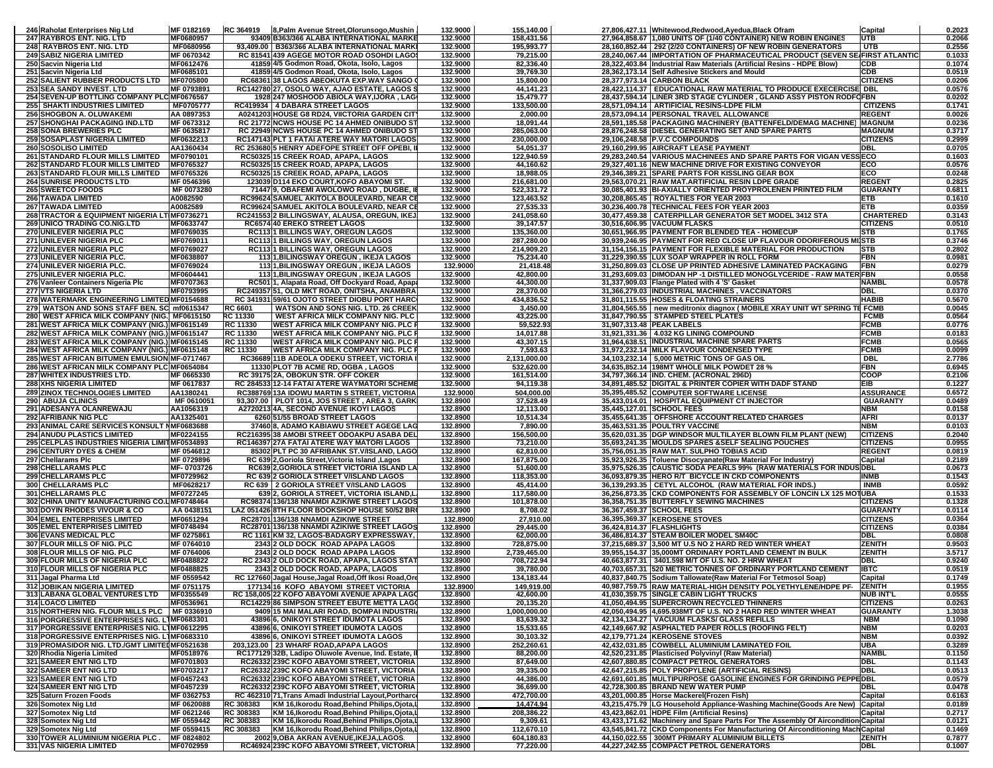| 246 Raholat Enterprises Nig Ltd                                                              | MF 0182169               | RC 364919 | 8, Palm Avenue Street, Olorunsogo, Mushin                                                | 132.9000             | 155,140.00               | 27,806,427.11 Whitewood, Redwood, Ayedua, Black Ofram                                                                           | Capital                             | 0.2023           |
|----------------------------------------------------------------------------------------------|--------------------------|-----------|------------------------------------------------------------------------------------------|----------------------|--------------------------|---------------------------------------------------------------------------------------------------------------------------------|-------------------------------------|------------------|
| 247 RAYBROS ENT. NIG. LTD                                                                    | MF0680957                |           | 93409 B363/366 ALABA INTERNATIONAL MARKE                                                 | 132.9000             | 158,431.56               | 27,964,858.67 1,080 UNITS OF (1/40 CONTAINER) NEW ROBIN ENGINES                                                                 | UTB                                 | 0.2066           |
| 248 RAYBROS ENT. NIG. LTD                                                                    | MF0680956                |           | 93,409.00 B363/366 ALABA INTERNATIONAL MARK                                              | 132.9000             | 195,993.77               | 28,160,852.44 292 (2/20 CONTAINERS) OF NEW ROBIN GENERATORS                                                                     | <b>UTB</b>                          | 0.2556           |
| <b>249 SABIZ NIGERIA LIMITED</b>                                                             | MF 0670342               |           | RC 81541 439 AGEGE MOTOR ROAD OSOHDI LAGO                                                | 132.9000             | 79,215.00                | 28,240,067.44 IMPORTATION OF PHARMACEUTICAL PRODUCT (SEVEN SE FIRST ATLANTIC                                                    |                                     | 0.1033           |
| 250 Sacvin Nigeria Ltd                                                                       | MF0612476                |           | 41859 4/5 Godmon Road, Okota, Isolo, Lagos                                               | 132.9000             | 82,336.40                | 28,322,403.84 Industrial Raw Materials (Artificial Resins - HDPE Blow)                                                          | CDB                                 | 0.1074           |
| 251 Sacvin Nigeria Ltd                                                                       | MF0685101                |           | 41859 4/5 Godmon Road, Okota, Isolo, Lagos                                               | 132.9000             | 39,769.30                | 28,362,173.14 Self Adhesive Stickers and Mould                                                                                  | CDB                                 | 0.0519           |
| 252 SALIENT RUBBER PRODUCTS LTD   MF0705800                                                  |                          |           | RC68361 38 LAGOS ABEOKUTA EXP.WAY SANGO                                                  | 132.9000             | 15,800.00                | 28,377,973.14 CARBON BLACK                                                                                                      | <b>CITIZENS</b>                     | 0.0206           |
| 253 SEA SANDY INVEST. LTD                                                                    | MF 0793891               |           | RC142780 27, OSOLO WAY, AJAO ESTATE, LAGOS \$                                            | 132.9000             | 44,141.23                | 28,422,114.37   EDUCATIONAL RAW MATERIAL TO PRODUCE EXECERCISE DBL                                                              |                                     | 0.0576           |
| 254 SEVEN-UP BOTTLING COMPANY PLC MF0676567                                                  |                          |           | 1928 247 MOSHOOD ABIOLA WAY, IJORA, LAG                                                  | 132.9000             | 15,479.77                | 28,437,594.14 LINER 3RD STAGE CYLINDER, GLAND ASSY PISTON RODFOFBN                                                              |                                     | 0.0202           |
| <b>255 SHAKTI INDUSTRIES LIMITED</b>                                                         | MF0705777                |           | RC419934 4 DABARA STREET LAGOS                                                           | 132.9000             | 133,500.00               | 28,571,094.14 ARTIFICIAL RESINS-LDPE FILM                                                                                       | <b>CITIZENS</b>                     | 0.1741           |
| <b>256 SHOGBON A. OLUWAKEMI</b>                                                              | AA 0897353               |           | A0241203 HOUSE G8 RD24, VIICTORIA GARDEN CIT                                             | 132.9000             | 2,000.00                 | 28,573,094.14 PERSONAL TRAVEL ALLOWANCE                                                                                         | <b>REGENT</b>                       | 0.0026           |
| 257 SHONGHAI PACKAGING IND.LTD                                                               | MF 0673312               |           | RC 21772 NCWS HOUSE PC 14 AHMED ONIBUDO ST                                               | 132.9000             | 18,091.44                | 28,591,185.58 PACKAGING MACHINERY (BATTENFELD/DEMAG MACHINE)                                                                    | <b>MAGNUM</b>                       | 0.0236           |
| <b>258 SONA BREWERIES PLC</b>                                                                | MF 0635817               |           | RC 22949 NCWS HOUSE PC 14 AHMED ONIBUDO ST                                               | 132.9000             | 285,063.00               | 28,876,248.58 DIESEL GENERATING SET AND SPARE PARTS                                                                             | <b>MAGNUM</b>                       | 0.3717           |
| 259 SOSAPLAST NIGERIA LIMITED                                                                | MF0632213                |           | RC147143 PLT 1 FATAI ATERE WAY MATORI LAGOS                                              | 132.9000             | 230,000.00               | 29,106,248.58 P.V.C COMPOUNDS                                                                                                   | <b>CITIZENS</b>                     | 0.2999           |
| 260 SOSOLISO LIMITED                                                                         | AA1360434                |           | RC 253680 5 HENRY ADEFOPE STREET OFF OPEBI, I                                            | 132.9000             | 54,051.37                | 29,160,299.95 AIRCRAFT LEASE PAYMENT                                                                                            | DBL                                 | 0.0705           |
| 261 STANDARD FLOUR MILLS LIMITED                                                             | MF0790101                |           | RC50325 15 CREEK ROAD, APAPA, LAGOS                                                      | 132.9000             | 122,940.59               | 29,283,240.54 VARIOUS MACHINEES AND SPARE PARTS FOR VIGAN VESS ECO                                                              |                                     | 0.1603           |
| <b>262 STANDARD FLOUR MILLS LIMITED</b>                                                      | MF0765327                |           | RC50325 15 CREEK ROAD, APAPA, LAGOS                                                      | 132.9000             | 44,160.62                | 29,327,401.16 NEW MACHINE DRIVE FOR EXISTING CONVEYOR                                                                           | ECO                                 | 0.0576           |
| 263 STANDARD FLOUR MILLS LIMITED                                                             | MF0765326                |           | RC50325 15 CREEK ROAD, APAPA, LAGOS                                                      | 132.9000             | 18,988.05                | 29,346,389.21 SPARE PARTS FOR KISSLING GEAR BOX                                                                                 | ECO                                 | 0.0248           |
| <b>264 SUNRISE PRODUCTS LTD</b>                                                              | MF 0546396               |           | 123039 D114 EKO COURT.KOFO ABAYOMI ST.                                                   | 132.9000             | 216.681.00               | 29,563,070.21 RAW MAT.ARTIFICIAL RESIN LDPE GRADE                                                                               | <b>REGENT</b>                       | 0.2825           |
| <b>265 SWEETCO FOODS</b>                                                                     | MF 0073280               |           | 71447 9, OBAFEMI AWOLOWO ROAD, DUGBE, I                                                  | 132.9000             | 522,331.72               | 30,085,401.93 BI-AXIALLY ORIENTED PROYPROLENEN PRINTED FILM                                                                     | <b>GUARANTY</b>                     | 0.6811           |
| <b>266 TAWADA LIMITED</b>                                                                    | A0082590                 |           | RC99624 SAMUEL AKITOLA BOULEVARD, NEAR CE                                                | 132.9000             | 123.463.52               | 30.208.865.45   ROYALTIES FOR YEAR 2003                                                                                         | ETB                                 | 0.1610           |
| 267 TAWADA LIMITED                                                                           | A0082589                 |           | RC99624 SAMUEL AKITOLA BOULEVARD, NEAR CE                                                | 132.9000             | 27,535.33                | 30,236,400.78 TECHNICAL FEES FOR YEAR 2003                                                                                      | ETB                                 | 0.0359           |
| 268 TRACTOR & EQUIPMENT NIGERIA LT MF0736271                                                 |                          |           | RC241553 2 BILLINGSWAY, ALAUSA, OREGUN, IKEJ                                             | 132.9000             | 241,058.60               | 30,477,459.38 CATERPILLAR GENERATOR SET MODEL 3412 STA                                                                          | <b>CHARTERED</b>                    | 0.3143           |
| <b>269 UNICO TRADING CO.NIG.LTD</b>                                                          | <b>MF0633747</b>         |           | RC6574 40 EREKO STREET LAGOS                                                             | 132.9000             | 39,147.57                | 30,516,606.95 VACUUM FLASKS                                                                                                     | <b>CITIZENS</b>                     | 0.0510           |
| 270 UNILEVER NIGERIA PLC                                                                     | MF0769035                |           | <b>RC113 1 BILLINGS WAY, OREGUN LAGOS</b>                                                | 132.9000             | 135,360.00               | 30,651,966.95 PAYMENT FOR BLENDED TEA - HOMECUP                                                                                 | <b>STB</b>                          | 0.1765           |
| 271 UNILEVER NIGERIA PLC                                                                     | MF0769011                |           | <b>RC113 1 BILLINGS WAY, OREGUN LAGOS</b>                                                | 132.9000             | 287,280.00               | 30,939,246.95 PAYMENT FOR RED CLOSE UP FLAVOUR ODORIFEROUS MI STB                                                               |                                     | 0.3746           |
| 272 UNILEVER NIGERIA PLC                                                                     | MF0769027                |           | RC113 1 BILLINGS WAY, OREGUN LAGOS                                                       | 132.9000             | 214,909.20               | 31,154,156.15 PAYMENT FOR FLEXIBLE MATERIAL FOR PRODUCTION                                                                      | <b>STB</b>                          | 0.2802           |
| 273 UNILEVER NIGERIA PLC.                                                                    | MF0638807                |           | 113 1, BILINGSWAY OREGUN, IKEJA LAGOS                                                    | 132.9000             | 75,234.40                | 31,229,390.55 LUX SOAP WRAPPER IN ROLL FORM                                                                                     | FBN                                 | 0.0981           |
| <b>274 UNILEVER NIGERIA PLC</b>                                                              | MF0769024                |           | 113 1, BILINGSWAY OREGUN, IKEJA LAGOS                                                    | 132.9000             | 21,418.48                | 31,250,809.03 CLOSE UP PRINTED ADHESIVE LAMINATED PACKAGING                                                                     | <b>FBN</b>                          | 0.0279           |
| 275 UNILEVER NIGERIA PLC.                                                                    | MF0604441                |           | 113 1, BILINGSWAY OREGUN, IKEJA LAGOS                                                    | 132.9000             | 42,800.00                | 31,293,609.03 DIMODAN HP -1 DISTILLED MONOGLYCERIDE - RAW MATER FBN                                                             |                                     | 0.0558           |
| 276 Vanleer Containers Nigeria Plc                                                           | MF0707363                |           | RC501 1, Alapata Road, Off Dockyard Road, Apapa                                          | 132.9000             | 44,300.00                | 31,337,909.03 Flange Plated with 4 'S' Gasket                                                                                   | NAMBL                               | 0.0578           |
| <b>277 VTS NIGERIA LTD</b>                                                                   | MF0793995                |           | RC249357 51, OLD MKT ROAD, ONITSHA, ANAMBRA                                              | 132.9000             | 28,370.00                | 31,366,279.03 INDUSTRIAL MACHINES, VACCINATORS                                                                                  | DBL                                 | 0.0370           |
| 278 WATERMARK ENGINEERING LIMITED MF0154688                                                  |                          |           | RC 341931 59/61 OJOTO STREET DIOBU PORT HARC                                             | 132.9000             | 434,836.52               | 31,801,115.55 HOSES & FLOATING STRAINERS                                                                                        | <b>HABIB</b>                        | 0.5670           |
| 279 WATSON AND SONS STAFF BEN, SC mf0615347                                                  |                          | RC 6601   | <b>WATSON AND SONS NIG. LTD. 26 CREEK</b>                                                | 132.9000             | 3,450.00                 | 31,804,565.55   new meditronix diagnox ( MOBILE XRAY UNIT WT SPRING TE FCMB                                                     |                                     | 0.0045           |
| 280 WEST AFRICA MILK COMPANY (NIG.) MF0615150                                                |                          | RC 11330  | WEST AFRICA MILK COMPANY NIG. PLC                                                        | 132.9000             | 43,225.00                | 31,847,790.55 STAMPED STEEL PLATES                                                                                              | <b>FCMB</b>                         | 0.0564           |
| 281 WEST AFRICA MILK COMPANY (NIG.) MF0615149                                                |                          | RC 11330  | WEST AFRICA MILK COMPANY NIG. PLC I                                                      | 132.9000             | 59,522.93                | 31.907.313.48 PEAK LABELS                                                                                                       | FCMB                                | 0.0776           |
| 282 WEST AFRICA MILK COMPANY (NIG.) MF0615147                                                |                          | RC 11330  | <b>WEST AFRICA MILK COMPANY NIG. PLC I</b>                                               | 132.9000             | 14,017.88                | 31,921,331.36 4.032 KG LINING COMPOUND                                                                                          | <b>FCMB</b>                         | 0.0183           |
| 283 WEST AFRICA MILK COMPANY (NIG.) MF0615145                                                |                          | RC 11330  | <b>WEST AFRICA MILK COMPANY NIG. PLC I</b>                                               | 132.9000             | 43,307.15                | 31,964,638.51 INDUSTRIAL MACHINE SPARE PARTS                                                                                    | FCMB                                | 0.0565           |
| 284 WEST AFRICA MILK COMPANY (NIG.) MF0615148                                                |                          | RC 11330  | <b>WEST AFRICA MILK COMPANY NIG. PLC I</b>                                               | 132.9000             | 7,593.63                 | 31,972,232.14 MILK FLAVOUR CONDENSED TYPE                                                                                       | <b>FCMB</b>                         | 0.0099           |
| 285 WEST AFRICAN BITUMEN EMULSION MF-0717467                                                 |                          |           | RC36689 11B ADEOLA ODEKU STREET, VICTORIA                                                | 132.9000             | 2,131,000.00             | 34,103,232.14 5,000 METRIC TONS OF GAS OIL                                                                                      | DBL                                 | 2.7786           |
| 286 WEST AFRICAN MILK COMPANY PLC MF0654084                                                  |                          |           | 11330 PLOT 7B ACME RD, OGBA, LAGOS                                                       | 132.9000             | 532,620.00               | 34,635,852.14 198MT WHOLE MILK POWDET 28 %                                                                                      | FBN                                 | 0.6945           |
| 287 WHITEX INDUSTRIES LTD.                                                                   | MF 0665330               |           | RC 39175 2A, OBOKUN STR, OFF COKER                                                       | 132.9000             | 161,514.00               | 34,797,366.14 IND. CHEM. (ACRONAL 296D)                                                                                         | COOP                                | 0.2106           |
| 288 XHS NIGERIA LIMITED                                                                      | MF 0617837               |           | RC 284533 12-14 FATAI ATERE WAYMATORI SCHEME                                             | 132.9000             | 94,119.38                | 34,891,485.52 DIGITAL & PRINTER COPIER WITH DADF STAND                                                                          | EIB                                 | 0.1227           |
| <b>289 ZINOX TECHNOLOGIES LIMITED</b>                                                        | AA1380241                |           | RC388769 13A IDOWU MARTIN S STREET, VICTORIA                                             | 132.9000             | 504,000.00               | 35,395,485.52 COMPUTER SOFTWARE LICENSE                                                                                         | <b>ASSURANCE</b>                    | 0.6572           |
| 290 ABUJA CLINICS                                                                            | MF 0610051               |           | 93,307.00 PLOT 1014, JOS STREET, AREA 3, GARK                                            | 132.8900             | 37,528.49                | 35,433,014.01   HOSPITAL EQUIPMENT CT INJECTOR                                                                                  | <b>GUARANTY</b>                     | 0.0489           |
| 291 ADESANYA OLANREWAJU                                                                      | AA1056319                |           | A2720213 4A, SECOND AVENUE IKOYI LAGOS                                                   | 132.8900             | 12,113.00                | 35,445,127.01 SCHOOL FEES                                                                                                       | NBM                                 | 0.0158           |
| <b>292 AFRIBANK NIG PLC</b>                                                                  | AA1325401                |           | 6260 51/55 BROAD STREET LAGOS                                                            | 132.8900             | 10,514.34                | 35,455,641.35 OFFSHORE ACCOUNT RELATED CHARGES                                                                                  | <b>AFRI</b>                         | 0.0137           |
| 293 ANIMAL CARE SERVICES KONSULT NMF0683688                                                  |                          |           | 37460 8, ADAMO KABIAWU STREET AGEGE LAG                                                  | 132.8900             | 7,890.00                 | 35,463,531.35 POULTRY VACCINE                                                                                                   | <b>NBM</b>                          | 0.0103           |
| <b>294 ANUDU PLASTICS LIMITED</b>                                                            | MF0224155                |           | RC216395 38 AMOBI STREET ODOAKPU ASABA DEL                                               | 132.8900             | 156,500.00               | 35,620,031.35 DGP WINDSOR MULTILAYER BLOWN FILM PLANT (NEW)                                                                     | <b>CITIZENS</b>                     | 0.2040           |
| 295 CELPLAS INDUSTRIES NIGERIA LIMITMF0534893                                                |                          |           | RC146397 27A FATAI ATERE WAY MATORI LAGOS                                                | 132.8900             | 73,210.00                | 35,693,241.35 MOULDS SPARES & SELF SEALING POUCHES                                                                              | <b>CITIZENS</b>                     | 0.0955           |
| 296 CENTURY DYES & CHEM                                                                      | MF 0546812               |           | 85302 PLT PC 30 AFRIBANK ST.V/ISLAND, LAGO                                               | 132.8900             | 62,810.00                | 35,756,051.35 RAW MAT. SULPHO TOBIAS ACID                                                                                       | <b>REGENT</b>                       | 0.0819           |
| 297 Chellarams Plc                                                                           | MF 0729896               |           | RC 639 2, Goriola Street, Victoria Island, Lagos                                         | 132.8900             | 167,875.00               | 35,923,926.35 Toluene Disocyanate (Raw Material For Industry)                                                                   | Capital                             | 0.2189           |
| <b>298 CHELLARAMS PLC</b>                                                                    | MF-0703726               |           | RC639 2, GORIOLA STREET VICTORIA ISLAND LA                                               | 132.8900             | 51,600.00                | 35,975,526.35 CAUSTIC SODA PEARLS 99% (RAW MATERIALS FOR INDUS DBL                                                              |                                     | 0.0673           |
| 299 CHELLARAMS PLC                                                                           | MF0729962                |           | RC 639 2 GORIOLA STREET V/ISLAND LAGOS                                                   | 132.8900             | 118,353.00               | 36,093,879.35 HERO R/T BICYCLE IN CKD COMPONENTS                                                                                | INMB                                | 0.1543           |
| 300 CHELLARAMS PLC                                                                           | MF0628217                |           | RC 639   2 GORIOLA STREET V/ISLAND LAGOS                                                 | 132.8900             | 45,414.00                | 36,139,293.35 CETYL ALCOHOL (RAW MATERIAL FOR INDS.)                                                                            | <b>INMB</b>                         | 0.0592           |
| 301 CHELLARAMS PLC                                                                           | MF0727245                |           | 639 2, GORIOLA STREET, VICTORIA ISLAND,L                                                 | 132.8900             | 117,580.00               | 36,256,873.35 CKD COMPONENTS FOR ASSEMBLY OF LONCIN LX 125 MOTUBA                                                               |                                     | 0.1533           |
| 302 CHINA UNITY MANUFACTURING CO.L MF0748464                                                 |                          |           | RC98374 136/138 NNAMDI AZIKIWE STREET LAGOS                                              | 132.8900             | 101,878.00               | 36,358,751.35 BUTTERFLY SEWING MACHINES                                                                                         | <b>CITIZENS</b>                     | 0.1328           |
| <b>303 DOYIN RHODES VIVOUR &amp; CO</b>                                                      | AA 0438151               |           | LAZ 051426 8TH FLOOR BOOKSHOP HOUSE 50/52 BR                                             | 132.8900             | 8,708.02                 | 36,367,459.37 SCHOOL FEES                                                                                                       | <b>GUARANTY</b>                     | 0.0114           |
| <b>304 EMEL ENTERPRISES LIMITED</b>                                                          | MF0651294                |           | RC28701 136/138 NNAMDI AZIKIWE STREET                                                    | 132.8900             | 27,910.00                | 36,395,369.37 KEROSENE STOVES                                                                                                   | <b>CITIZENS</b>                     | 0.0364           |
| 305 EMEL ENTERPRISES LIMITED                                                                 | MF0748494                |           | RC28701 136/138 NNAMDI AZIKIWE STREET LAGOS                                              | 132.8900             | 29,445.00                | 36,424,814.37 FLASHLIGHTS                                                                                                       | <b>CITIZENS</b>                     | 0.0384           |
| <b>306 EVANS MEDICAL PLC</b>                                                                 | MF 0275861               |           | RC 1161 KM 32. LAGOS-BADAGRY EXPRESSWAY.                                                 | 132.8900             | 62,000.00                | 36,486,814.37 STEAM BOILER MODEL SM40C                                                                                          | DBL                                 | 0.0808           |
| 307 FLOUR MILLS OF NIG. PLC                                                                  | MF 0764010               |           | 2343 2 OLD DOCK ROAD APAPA LAGOS                                                         | 132.8900             | 728,875.00               | 37,215,689.37 3,500 MT U.S NO 2 HARD RED WINTER WHEAT<br>39.955.154.37 35.000MT ORDINARY PORTLAND CEMENT IN BULK                | ZENITH                              | 0.9503           |
| 308 FLOUR MILLS OF NIG. PLC<br>309 FLOUR MILLS OF NIGERIA PLC                                | MF 0764006               |           | 2343 2 OLD DOCK ROAD APAPA LAGOS<br>RC 2343 2 OLD DOCK ROAD, APAPA, LAGOS STAT           | 132.8900             | 2,739,465.00             |                                                                                                                                 | <b>ZENITH</b>                       | 3.5717           |
|                                                                                              | MF0488822                |           |                                                                                          | 132.8900             | 708,722.94               | 40,663,877.31 3401.598 M/T OF U.S. NO. 2 HRW WHEAT                                                                              | DBL                                 | 0.9240           |
| <b>310 FLOUR MILLS OF NIGERIA PLC</b>                                                        | MF0488825                |           | 2343 2 OLD DOCK ROAD, APAPA, LAGOS                                                       | 132.8900             | 39,780.00                | 40,703,657.31 520 METRIC TONNES OF ORDINARY PORTLAND CEMENT                                                                     | <b>IBTC</b>                         | 0.0519           |
| 311 Jagal Pharma Ltd                                                                         | MF 0559542               |           | RC 127660 Jagal House, Jagal Road, Off Ikosi Road, Ore                                   | 132.8900             | 134,183.44<br>149,919.00 | 40,837,840.75 Sodium Tallowate(Raw Material For Tetmosol Soap)<br>40.987.759.75 RAW MATERIAL-HIGH DENSITY POLYETHYLENE/HDPE PF- | Capital                             | 0.1749<br>0.1955 |
| <b>312 JOBIKAN NIGERIA LIMITED</b>                                                           | MF 0751175<br>MF0355549  |           | 177134 16 KOFO ABAYOMI STREET VICTORIA                                                   | 132.8900             |                          |                                                                                                                                 | <b>ZENITH</b>                       |                  |
| 313 LABANA GLOBAL VENTURES LTD                                                               | MF0536961                |           | RC 158,005 22 KOFO ABAYOMI AVENUE APAPA LAGO                                             | 132.8900<br>132.8900 | 42,600.00                | 41,030,359.75 SINGLE CABIN LIGHT TRUCKS<br>41,050,494.95 SUPERCROWN RECYCLED THINNERS                                           | <b>NUB INT'L</b><br><b>CITIZENS</b> | 0.0555           |
| <b>314 LOACO LIMITED</b>                                                                     |                          |           | RC14229 86 SIMPSON STREET EBUTE METTA LAGO                                               |                      | 20,135.20                |                                                                                                                                 | <b>GUARANTY</b>                     | 0.0263           |
| 315 NORTHERN NIG. FLOUR MILLS PLC   MF 0336910                                               |                          |           | 9409 15 MAI MALARI ROAD, BOMPAI INDUSTRI<br>43896 6. ONIKOYI STREET IDUMOTA LAGOS        | 132.8900             | 1,000,000.00             | 42,050,494.95 4,695.938MT OF U.S. NO 2 HARD RED WINTER WHEAT<br>42.134.134.27 VACUUM FLASKS/ GLASS REFILLS                      |                                     | 1.3038           |
| 316 PORGRESSIVE ENTERPRISES NIG. L1MF0683301<br>317 PORGRESSIVE ENTERPRISES NIG. L1MF0612295 |                          |           | 43896 6, ONIKOYI STREET IDUMOTA LAGOS                                                    | 132.8900<br>132.8900 | 83,639.32<br>15,533.65   | 42,149,667.92 ASPHALTED PAPER ROLLS (ROOFING FELT)                                                                              | <b>NBM</b><br><b>NBM</b>            | 0.1090<br>0.0203 |
| 318 PORGRESSIVE ENTERPRISES NIG. L1MF0683310                                                 |                          |           | 43896 6, ONIKOYI STREET IDUMOTA LAGOS                                                    | 132.8900             | 30,103.32                | 42,179,771.24 KEROSENE STOVES                                                                                                   | <b>NBM</b>                          | 0.0392           |
| 319 PROMASIDOR NIG. LTD./GMT LIMITED MF0521638                                               |                          |           | 203.123.00 23 WHARF ROAD.APAPA LAGOS                                                     | 132.8900             | 252,260.61               | 42.432.031.85 COWBELL ALUMINIUM LAMINATED FOIL                                                                                  | UBA                                 | 0.3289           |
|                                                                                              | MF0518976                |           | RC177129 32B, Ladipo Oluwole Avenue, Ind. Estate, I                                      | 132.8900             | 88,200.00                | 42,520,231.85 Plasticised Polyvinyl (Raw Material)                                                                              | <b>NAMBL</b>                        | 0.1150           |
|                                                                                              |                          |           |                                                                                          |                      | 87,649.00                | 42,607,880.85 COMPACT PETROL GENERATORS                                                                                         | DBL                                 | 0.1143           |
| 320 Rhodia Nigeria Limited                                                                   |                          |           |                                                                                          |                      |                          |                                                                                                                                 |                                     |                  |
| 321 SAMEER ENT NIG LTD                                                                       | MF0701803                |           | RC26332 239C KOFO ABAYOMI STREET, VICTORIA                                               | 132.8900             |                          |                                                                                                                                 |                                     |                  |
| 322 SAMEER ENT NIG LTD                                                                       | MF0703217                |           | RC26332 239C KOFO ABAYOMI STREET, VICTORIA                                               | 132.8900             | 39,335.00                | 42,647,215.85 POLY PROPYLENE (ARTIFICIAL RESINS)                                                                                | <b>DBL</b>                          | 0.0513           |
| 323 SAMEER ENT NIG LTD                                                                       | MF0457243                |           | RC26332 239C KOFO ABAYOMI STREET, VICTORIA                                               | 132.8900             | 44,386.00                | 42,691,601.85 MULTIPURPOSE GASOLINE ENGINES FOR GRINDING PEPPEDBL                                                               |                                     | 0.0579           |
| 324 SAMEER ENT NIG LTD                                                                       | MF0457239                |           | RC26332 239C KOFO ABAYOMI STREET, VICTORIA                                               | 132.8900             | 36,699.00                | 42,728,300.85 BRAND NEW WATER PUMP                                                                                              | DBL                                 | 0.0478           |
| 325 Saturn Frozen Foods                                                                      | MF 0362753               |           | RC 462310 71, Trans Amadi Industrial Layout, Portharce                                   | 132.8900             | 472,700.00               | 43,201,000.85 Horse Mackerel(Frozen Fish)                                                                                       | Capital                             | 0.6163           |
| 326 Somotex Nig Ltd                                                                          | MF 0620088               | RC 308383 | KM 16, Ikorodu Road, Behind Philips, Ojota, I                                            | 132.8900             | 14,474.94                | 43,215,475.79 LG Household Appliance-Washing Machine(Goods Are New) Capital                                                     |                                     | 0.0189           |
| 327 Somotex Nig Ltd                                                                          | MF 0621246               | RC 308383 | KM 16, Ikorodu Road, Behind Philips, Ojota, I                                            | 132.8900             | 208,386.22               | 43,423,862.01 HDPE Film (Artificial Resins)                                                                                     | Capital                             | 0.2717           |
| 328 Somotex Nig Ltd                                                                          | MF 0559442               | RC 308383 | KM 16, Ikorodu Road, Behind Philips, Ojota, I                                            | 132.8900             | 9,309.61                 | 43,433,171.62 Machinery and Spare Parts For The Assembly Of Aircondition Capital                                                |                                     | 0.0121           |
| 329 Somotex Nig Ltd<br>330 TOWER ALUMINIUM NIGERIA PLC                                       | MF 0559415<br>MF 0824802 | RC 308383 | KM 16, Ikorodu Road, Behind Philips, Ojota, L<br>2002 9, OBA AKRAN AVENUE, IKEJA, LAGOS. | 132.8900<br>132.8900 | 112,670.10<br>604,180.83 | 43,545,841.72 CKD Components For Manufacturing Of Airconditioning Mach Capital<br>44,150,022.55 300MT PRIMARY ALUMINIUM BILLETS | <b>ZENITH</b>                       | 0.1469<br>0.7877 |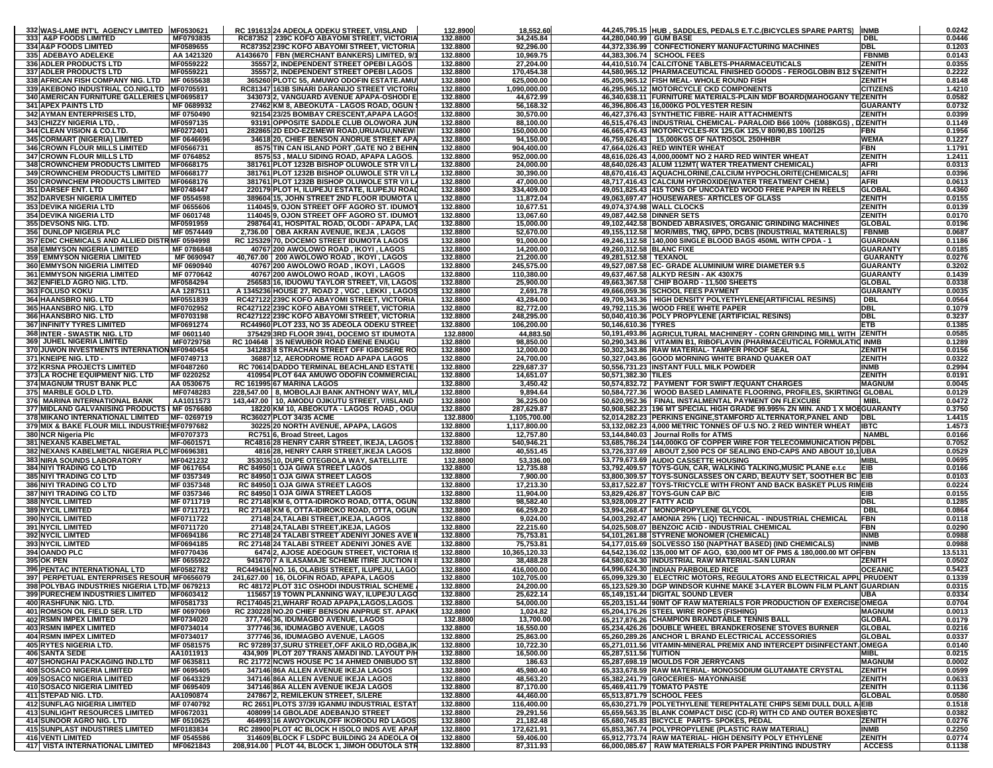| 332 WAS-LAME INT'L AGENCY LIMITED MF0530621                                                 |                                                                                              |                      |                        |                           |                                                                                                                     |                                | 0.0242             |
|---------------------------------------------------------------------------------------------|----------------------------------------------------------------------------------------------|----------------------|------------------------|---------------------------|---------------------------------------------------------------------------------------------------------------------|--------------------------------|--------------------|
|                                                                                             | RC 191613 24 ADEOLA ODEKU STREET, V/ISLAND                                                   | 132.8900             | 18,552.60              |                           | 44,245,795.15 HUB, SADDLES, PEDALS E.T.C.(BICYCLES SPARE PARTS)                                                     | <b>INMB</b>                    |                    |
| 333 A&P FOODS LIMITED<br>MF0793835                                                          | RC87352   239C KOFO ABAYOMI STREET, VICTORIA                                                 | 132.8800             | 34,245.84              | 44,280,040.99 GUM BASE    |                                                                                                                     | DBL                            | 0.0446             |
| 334 A&P FOODS LIMITED<br>MF0589655                                                          | RC87352 239C KOFO ABAYOMI STREET, VICTORIA                                                   | 132.8800             | 92,296.00              |                           | 44,372,336.99 CONFECTIONERY MANUFACTURING MACHINES                                                                  | DBL                            | 0.1203             |
| 335 ADEBAYO ADELEKE<br>AA 1421320                                                           | A1436670   FBN (MERCHANT BANKERS) LIMITED, 9/1                                               | 132.8800             | 10,969.75              |                           | 44,383,306.74   SCHOOL FEES                                                                                         | <b>FBNMB</b>                   | 0.0143             |
| 336 ADLER PRODUCTS LTD<br>MF0559222                                                         | 35557 2, INDEPENDENT STREET OPEBI LAGOS                                                      | 132.8800             | 27,204.00              |                           | 44,410,510.74 CALCITONE TABLETS-PHARMACEUTICALS                                                                     | <b>ZENITH</b>                  | 0.0355             |
| MF0559221<br>337 ADLER PRODUCTS LTD                                                         | 35557 2, INDEPENDENT STREET OPEBI LAGOS                                                      | 132.8800             | 170,454.38             |                           | 44,580,965.12 PHARMACEUTICAL FINISHED GOODS - FEROGLOBIN B12 SYZENITH                                               |                                | 0.2222             |
| 338 AFRICAN FISH COMPANY NIG. LTD MF 0655638                                                | 365260 PLOTC 55, AMUWO ODOFIN ESTATE.AMU                                                     | 132.8800             | 625,000.00             |                           | 45,205,965.12 FISH MEAL-WHOLE ROUND FISH                                                                            | <b>ZENITH</b>                  | 0.8148             |
| 339 AKEBONO INDUSTRIAL CO.NIG.LTD MF0705591                                                 |                                                                                              |                      |                        |                           | 46.295.965.12 MOTORCYCLE CKD COMPONENTS                                                                             |                                |                    |
|                                                                                             | RC81347 163B SINARI DARANIJO STREET VICTORI                                                  | 132.8800             | 1.090.000.00           |                           |                                                                                                                     | <b>CITIZENS</b>                | 1.4210             |
| 340 AMERICAN FURNITURE GALLERIES LMF0695817                                                 | 343073 2, VANGUARD AVENUE APAPA-OSHODI E                                                     | 132.8800             | 44,672.99              |                           | 46,340,638.11 FURNITURE MATERIALS-PLAIN MDF BOARD(MAHOGANY TEZENITH                                                 |                                | 0.0582             |
| <b>341 APEX PAINTS LTD</b><br>MF 0689932                                                    | 27462 KM 8, ABEOKUTA - LAGOS ROAD, OGUN :                                                    | 132.8800             | 56,168.32              |                           | 46,396,806.43 16,000KG POLYESTER RESIN                                                                              | <b>GUARANTY</b>                | 0.0732             |
| 342 AYMAN ENTERPRISES LTD,<br>MF 0750490                                                    | 92154 23/25 BOMBAY CRESCENT, APAPA LAGOS                                                     | 132.8800             | 30,570.00              |                           | 46,427,376.43 SYNTHETIC FIBRE- HAIR ATTACHMENTS                                                                     | <b>ZENITH</b>                  | 0.0399             |
| 343 CHIZZY NIGERIA LTD,<br>MF0597135                                                        | 93191 OPPOSITE SADDLE CLUB OLOWORA JUN                                                       | 132.8800             | 88,100.00              |                           | 46,515,476.43 INDUSTRIAL CHEMICAL- PARALOID B66 100% (1088KGS), DZENITH                                             |                                | 0.1149             |
| 344 CLEAN VISION & CO.LTD.<br>MF0272401                                                     | 282865 2D EDO-EZEMEWI ROAD, URUAGU, NNEW                                                     | 132.8800             | 150,000.00             |                           | 46,665,476.43 MOTORCYCLES-RX 125,GK 125,V 80/90,BS 100/125                                                          | FBN                            | 0.1956             |
|                                                                                             |                                                                                              |                      |                        |                           |                                                                                                                     |                                |                    |
| 345 CORMART (NIGERIA) LIMITED<br>MF 0646696                                                 | 34618 20, CHIEF BENSON ANORUE STREET APA                                                     | 132.8800             | 94,150.00              |                           | 46,759,626.43 15,000KGS OF NATROSOL 250HHBR                                                                         | <b>WEMA</b>                    | 0.1227             |
| <b>346 CROWN FLOUR MILLS LIMITED</b><br>MF0566731                                           | 8575 TIN CAN ISLAND PORT .GATE NO 2 BEHIN                                                    | 132.8800             | 904,400.00             |                           | 47,664,026.43 RED WINTER WHEAT                                                                                      | FBN                            | 1.1791             |
| MF 0764852<br><b>347 CROWN FLOUR MILLS LTD</b>                                              | 8575 53, MALU SIDING ROAD, APAPA LAGOS.                                                      | 132.8800             | 952,000.00             |                           | 48,616,026.43 4,000,000MT NO 2 HARD RED WINTER WHEAT                                                                | <b>ZENITH</b>                  | 1.2411             |
| 348 CROWNCHEM PRODUCTS LIMITED<br>MF0668175                                                 | 381761 PLOT 1232B BISHOP OLUWOLE STR V/I L/                                                  | 132.8800             | 24,000.00              |                           | 48,640,026.43 ALUM 112MT(WATER TREATMENT CHEMICAL)                                                                  | <b>AFRI</b>                    | 0.0313             |
| 349 CROWNCHEM PRODUCTS LIMITED<br>MF0668177                                                 | 381761 PLOT 1232B BISHOP OLUWOLE STR V/I LA                                                  | 132.8800             | 30,390.00              |                           | 48,670,416.43 AQUACHLORINE,CALCIUM HYPOCHLORITE(CHEMICALS                                                           | <b>AFRI</b>                    | 0.0396             |
|                                                                                             |                                                                                              |                      |                        |                           |                                                                                                                     |                                |                    |
| 350 CROWNCHEM PRODUCTS LIMITED<br>MF0668176                                                 | 381761 PLOT 1232B BISHOP OLUWOLE STR V/I LA                                                  | 132.8800             | 47,000.00              |                           | 48.717.416.43 CALCIUM HYDROXIDE(WATER TREATMENT CHEM.)                                                              | AFRI                           | 0.0613             |
| MF0748447<br>351 DARSEF ENT. LTD                                                            | 220179 PLOT H, ILUPEJU ESTATE, ILUPEJU ROAD                                                  | 132.8800             | 334,409.00             |                           | 49,051,825.43 415 TONS OF UNCOATED WOOD FREE PAPER IN REELS                                                         | <b>GLOBAL</b>                  | 0.4360             |
| <b>352 DARVESH NIGERIA LIMITED</b><br>MF 0554598                                            | 389604 15. JOHN STREET 2ND FLOOR IDUMOTA L                                                   | 132.8800             | 11,872.04              |                           | 49.063.697.47 HOUSEWARES- ARTICLES OF GLASS                                                                         | <b>ZENITH</b>                  | 0.0155             |
| 353 DEVIKA NIGERIA LTD<br>MF 0655606                                                        | 114045 9, OJON STREET OFF AGORO ST. IDUMOT                                                   | 132.8800             | 10,677.51              |                           | 49,074,374.98 WALL CLOCKS                                                                                           | <b>ZENITH</b>                  | 0.0139             |
| <b>354 DEVIKA NIGERIA LTD</b><br>MF 0601748                                                 | 114045 9, OJON STREET OFF AGORO ST. IDUMOT                                                   | 132.8800             | 13,067.60              | 49,087,442.58 DINNER SETS |                                                                                                                     | <b>ZENITH</b>                  | 0.0170             |
|                                                                                             |                                                                                              |                      |                        |                           |                                                                                                                     |                                |                    |
| 355 DEVSONS NIG. LTD.<br>MF0591959                                                          | 298764 41, HOSPITAL ROAD, OLODI - APAPA, LAC                                                 | 132.8800             | 15,000.00              |                           | 49,102,442.58 BONDED ABRASIVES, ORGANIC GRINDING MACHINES                                                           | <b>GLOBAL</b>                  | 0.0196             |
| MF 0574449<br>356 DUNLOP NIGERIA PLC                                                        | 2,736.00   OBA AKRAN AVENUE, IKEJA , LAGOS                                                   | 132.8800             | 52,670.00              |                           | 49,155,112.58   MOR/MBS, TMQ, 6PPD, DCBS (INDUSTRIAL MATERIALS)                                                     | <b>FBNMB</b>                   | 0.0687             |
| 357 EDIC CHEMICALS AND ALLIED DISTR MF 0594998                                              | RC 125329 70, DOCEMO STREET IDUMOTA LAGOS                                                    | 132.8800             | 91,000.00              |                           | 49,246,112.58 140,000 SINGLE BLOOD BAGS 450ML WITH CPDA - 1                                                         | GUARDIAN                       | 0.1186             |
| 358 EMMYSON NIGERIA LIMITED<br>MF 0786848                                                   | 40767 200 AWOLOWO ROAD, IKOYI, LAGOS                                                         | 132.8800             | 14,200.00              | 49,260,312.58 BLANC FIXE  |                                                                                                                     | GUARANTY                       | 0.0185             |
| 359 EMMYSON NIGERIA LIMITED<br>MF 0690947                                                   | 40,767.00   200 AWOLOWO ROAD, IKOYI, LAGOS                                                   | 132.8800             | 21,200.00              | 49,281,512.58 TEXANOL     |                                                                                                                     | <b>GUARANTY</b>                | 0.0276             |
|                                                                                             |                                                                                              |                      |                        |                           |                                                                                                                     |                                |                    |
| MF 0690940<br><b>360 EMMYSON NIGERIA LIMITED</b>                                            | 40767 200 AWOLOWO ROAD, IKOYI, LAGOS                                                         | 132.8800             | 245,575.00             |                           | 49,527,087.58 EC- GRADE ALUMINIUM WIRE DIAMETER 9.5                                                                 | GUARANTY                       | 0.3202             |
| 361 EMMYSON NIGERIA LIMITED<br>MF 0770642                                                   | 40767 200 AWOLOWO ROAD, IKOYI, LAGOS                                                         | 132.8800             | 110,380.00             |                           | 49,637,467.58 ALKYD RESIN - AK 430X75                                                                               | <b>GUARANTY</b>                | 0.1439             |
| MF0584294<br>362 ENFIELD AGRO NIG. LTD.                                                     | 256583 16, IDUOWU TAYLOR STREET, V/I, LAGOS                                                  | 132.8800             | 25,900.00              |                           | 49,663,367.58 CHIP BOARD - 11,500 SHEETS                                                                            | <b>GLOBAL</b>                  | 0.0338             |
| 363 FOLUSO KOKU<br>AA 1287511                                                               | A 1345236 HOUSE 27, ROAD 2, VGC, LEKKI, LAGOS                                                | 132.8800             | 2,691.78               |                           | 49,666,059.36 SCHOOL FEES PAYMENT                                                                                   | <b>GUARANTY</b>                | 0.0035             |
| 364 HAANSBRO NIG. LTD<br>MF0551839                                                          | RC427122 239C KOFO ABAYOMI STREET. VICTORIA                                                  | 132.8800             | 43,284.00              |                           | 49.709.343.36 HIGH DENSITY POLYETHYLENE(ARTIFICIAL RESINS)                                                          | DBL                            | 0.0564             |
| MF0702952<br>365 HAANSBRO NIG. LTD                                                          | RC427122 239C KOFO ABAYOMI STREET, VICTORIA                                                  | 132.8800             | 82,772.00              |                           | 49,792,115.36 WOOD FREE WHITE PAPER                                                                                 | DBL                            | 0.1079             |
|                                                                                             |                                                                                              |                      |                        |                           |                                                                                                                     |                                |                    |
| MF0703198<br>366 HAANSBRO NIG. LTD                                                          | RC427122 239C KOFO ABAYOMI STREET, VICTORIA                                                  | 132.8800             | 248,295.00             |                           | 50,040,410.36 POLY PROPYLENE (ARTIFICIAL RESINS)                                                                    | DBL                            | 0.3237             |
| 367 INFINITY TYRES LIMITED<br>MF0691274                                                     | RC44960 PLOT 233, NO 35 ADEOLA ODEKU STREET                                                  | 132.8800             | 106,200.00             | 50,146,610.36 TYRES       |                                                                                                                     | ETB                            | 0.1385             |
| 368 INTER - SWASTIK NIG. LTD<br>MF 0601140                                                  | 375429 3RD FLOOR 39/41, DOCEMO ST IDUMOTA                                                    | 132.8800             | 44.883.50              |                           | 50,191,493.86 AGRICULTURAL MACHINERY - CORN GRINDING MILL WITH ZENITH                                               |                                | 0.0585             |
| 369 JUHEL NIGERIA LIMITED<br>MF0729758                                                      | RC 104648 35 NEWUBOR ROAD EMENE ENUGU                                                        | 132.8800             | 98,850.00              |                           | 50,290,343.86   VITAMIN B1, RIBOFLAVIN (PHARMACEUTICAL FORMULATIC INMB                                              |                                | 0.1289             |
| 370 JUWON INVESTMENTS INTERNATION MF0940454                                                 | 341283 8 STRACHAN STREET OFF IGBOSERE RO                                                     | 132.8800             | 12,000.00              |                           | 50,302,343.86 RAW MATERIAL- TAMPER PROOF SEAL                                                                       | <b>ZENITH</b>                  | 0.0156             |
|                                                                                             |                                                                                              |                      |                        |                           |                                                                                                                     | <b>ZENITH</b>                  |                    |
| 371 KNEIPE NIG. LTD -<br>MF0749713                                                          | 36887 12, AERODROME ROAD APAPA LAGOS                                                         | 132.8800             | 24,700.00              |                           | 50,327,043.86 GOOD MORNING WHITE BRAND QUAKER OAT                                                                   |                                | 0.0322             |
| 372 KRSNA PROJECTS LIMITED<br>MF0487260                                                     | RC 70614 DADDO TERMINAL BEACHLAND ESTATE                                                     | 132.8800             | 229,687.37             |                           | 50,556,731.23 INSTANT FULL MILK POWDER                                                                              | <b>INMB</b>                    | 0.2994             |
| 373 LA ROCHE EQUIPMENT NIG. LTD<br>MF 0220252                                               | 410954 PLOT 64A AMUWO ODOFIN COMMERCIAL                                                      | 132.8800             | 14,651.07              | 50,571,382.30 TILES       |                                                                                                                     | <b>ZENITH</b>                  | 0.019 <sup>′</sup> |
| <b>374 MAGNUM TRUST BANK PLC</b><br>AA 0530675                                              | RC 161995 67 MARINA LAGOS                                                                    | 132.8800             | 3,450.42               |                           | 50,574,832.72 PAYMENT FOR SWIFT /EQUANT CHARGES                                                                     | <b>MAGNUM</b>                  | 0.0045             |
| 375 MARBLE GOLD LTD.<br>MF0748283                                                           | 228,547.00   8, MOBOLAJI BANK ANTHONY WAY, M/L/                                              | 132.8800             | 9,894.64               |                           | 50,584,727.36   WOOD BASED LAMINATE FLOORING, PROFILES, SKIRTING   GLOBAL                                           |                                | 0.0129             |
|                                                                                             |                                                                                              |                      |                        |                           |                                                                                                                     |                                |                    |
|                                                                                             |                                                                                              |                      |                        |                           |                                                                                                                     |                                |                    |
| AA1011573<br>376 MARINA INTERNATIONAL BANK                                                  | 143,447.00   10, AMODU OJIKUTU STREET, V/ISLAND                                              | 132.8800             | 36,225.00              |                           | 50,620,952.36 FINAL INSTALMENTAL PAYMENT ON FLEXCUBE                                                                | <b>MIBL</b>                    | 0.0472             |
| 377 MIDLAND GALVANISING PRODUCTS I MF 0576680                                               | 18220 KM 10, ABEOKUTA - LAGOS ROAD, OGU                                                      | 132.8800             | 287,629.87             |                           | 50,908,582.23 196 MT SPECIAL HIGH GRADE 99.995% ZN MIN. AND 1 X MOEGUARANTY                                         |                                | 0.3750             |
| 378 MIKANO INTERNATIONAL LIMITED<br>MF-0269719                                              | RC36027 PLOT 34/35 ACME                                                                      | 132.8800             | 1,105,700.00           |                           | 52,014,282.23 PERKINS ENGINE, STAMFORD ALTERNATOR, PANEL AND                                                        | DBL                            | 1.4415             |
| 379 MIX & BAKE FLOUR MILL INDUSTRIES MF0797682                                              | 30225 20 NORTH AVENUE, APAPA, LAGOS                                                          | 132.8800             | 1,117,800.00           |                           | 53,132,082.23 4,000 METRIC TONNES OF U.S NO. 2 RED WINTER WHEAT                                                     | <b>IBTC</b>                    | 1.4573             |
|                                                                                             |                                                                                              |                      |                        |                           |                                                                                                                     |                                |                    |
| 380 NCR Nigeria Plc<br>MF0707373                                                            | RC751 6, Broad Street, Lagos                                                                 | 132.8800             | 12,757.80              |                           | 53,144,840.03 Journal Rolls for ATMS                                                                                | <b>NAMBL</b>                   | 0.0166             |
| <b>381 NEXANS KABELMETAL</b><br>MF-0601571                                                  | RC4816 28 HENRY CARR STREET, IKEJA, LAGOS                                                    | 132.8800             | 540,946.21             |                           | 53,685,786.24 144,000KG OF COPPER WIRE FOR TELECOMMUNICATION PIDBL                                                  |                                | 0.7052             |
| 382 NEXANS KABELMETAL NIGERIA PLC MF0696381                                                 | 4816 28, HENRY CARR STREET, IKEJA LAGOS                                                      | 132.8800             | 40,551.45              |                           | 53,726,337.69   ABOUT 2,500 PCS OF SEALING END-CAPS AND ABOUT 10,1 UBA                                              |                                | 0.0529             |
| 383 NIRA SOUNDS LABORATORY<br>MF0421232                                                     | 353035 10, DUPE OTEGBOLA WAY, SATELLITE                                                      | 132.8800             | 53,336.00              |                           | 53,779,673.69 AUDIO CASSETTE HOUSING                                                                                | MIBL                           | 0.0695             |
| 384 NIYI TRADING CO LTD<br>MF 0617654                                                       | RC 84950 1 OJA GIWA STREET LAGOS                                                             | 132.8800             | 12,735.88              |                           | 53,792,409.57 TOYS-GUN, CAR, WALKING TALKING, MUSIC PLANE e.t.c                                                     | EIB                            | 0.0166             |
| 385 NIYI TRADING CO LTD<br>MF 0357349                                                       | RC 84950 1 OJA GIWA STREET LAGOS                                                             | 132.8800             | 7,900.00               |                           | 53,800,309.57 TOYS-SUNGLASSES ON CARD, BEAUTY SET, SOOTHER BC EIB                                                   |                                | 0.0103             |
|                                                                                             |                                                                                              |                      |                        |                           |                                                                                                                     |                                |                    |
| 386 NIYI TRADING CO LTD<br>MF 0357348                                                       | RC 84950 1 OJA GIWA STREET LAGOS                                                             | 132.8800             | 17,213.30              |                           | 53,817,522.87 TOYS-TRICYCLE WITH FRONT AND BACK BASKET PLUS RINEIB                                                  |                                | 0.0224             |
| 387 NIYI TRADING CO LTD<br>MF 0357346                                                       | RC 84950 1 OJA GIWA STREET LAGOS                                                             | 132.8800             | 11,904.00              |                           | 53,829,426.87 TOYS-GUN CAP B/C                                                                                      | EIB                            | 0.0155             |
| 388 NYCIL LIMITED<br>MF 0711719                                                             | RC 27148 KM 6, OTTA-IDIROKO ROAD, OTTA, OGUN                                                 | 132.8800             | 98,582.40              | 53,928,009.27 FATTY ACID  |                                                                                                                     | <b>DBL</b>                     | 0.1285             |
| <b>389 NYCIL LIMITED</b><br>MF 0711721                                                      | RC 27148 KM 6, OTTA-IDIROKO ROAD, OTTA, OGUN                                                 | 132.8800             | 66,259.20              |                           | 53,994,268.47 MONOPROPYLENE GLYCOL                                                                                  | DBI                            | 0.0864             |
| <b>390 NYCIL LIMITED</b><br>MF0711722                                                       | 27148 24, TALABI STREET, IKEJA, LAGOS                                                        | 132.8800             | 9,024.00               |                           | 54,003,292.47 AMONIA 25% (LIQ) TECHNICAL - INDUSTRIAL CHEMICAL                                                      | <b>FBN</b>                     | 0.0118             |
| 391 NYCIL LIMITED<br>MF0711720                                                              |                                                                                              | 132.8800             | 22,215.60              |                           | 54,025,508.07 BENZOIC ACID - INDUSTRIAL CHEMICAL                                                                    | FBN                            | 0.0290             |
| <b>392 NYCIL LIMTED</b><br>MF0694186                                                        | 27148 24, TALABI STREET, IKEJA, LAGOS                                                        |                      |                        |                           |                                                                                                                     | INMB                           |                    |
|                                                                                             | RC 27148 24 TALABI STREET ADENIYI JONES AVE I                                                | 132.8800             | 75,753.81              |                           | 54,101,261.88 STYRENE MONOMER (CHEMICAL)                                                                            |                                | 0.0988             |
| <b>393 NYCIL LIMTED</b><br>MF0694185                                                        | RC 27148 24 TALABI STREET ADENIYI JONES AVE                                                  | 132.8800             | 75,753.81              |                           | 54,177,015.69 SOLVESSO 150 (NAPTHAT BASED) (IND CHEMICALS)                                                          | INMB                           | 0.0988             |
| 394 OANDO PLC<br>MF0770436                                                                  | 6474 2, AJOSE ADEOGUN STREET, VICTORIA IS                                                    | 132.8800             | 10,365,120.33          |                           | 64,542,136.02 135,000 MT OF AGO, 630,000 MT OF PMS & 180,000.00 MT OF FBN                                           |                                | 13.5131            |
| MF 0655922<br><b>395 OK PEN</b>                                                             | 941670 7 A ILASAMAJE SCHEME ITIRE JUCTION I                                                  | 132.8800             | 38,488.28              |                           | 64,580,624.30 INDUSTRIAL RAW MATERIAL-SAN LURAN                                                                     | ZENITH                         | 0.0502             |
| 396 PENTAC INTERNATIONAL LTD<br>MF0582782                                                   | RC449416 NO. 16, OLABISI STREET, ILUPEJU, LAGOS                                              | 132.8800             | 416,000.00             |                           | 64,996,624.30 INDIAN PARBOILED RICE                                                                                 | <b>OCEANIC</b>                 | 0.5423             |
|                                                                                             | 241,627.00   16, OLOFIN ROAD, APAPA, LAGOS                                                   | 132.8800             | 102.705.00             |                           | 65,099,329.30 ELECTRIC MOTORS, REGULATORS AND ELECTRICAL APPL PRUDENT                                               |                                | 0.1339             |
| 397 PERPETUAL ENTERPRISES RESOUR MF0656079<br>398 POLYBAG INDUSTRIES NIGERIA LTD ME 0679213 | <b>RC 48172 PLOT 31C OSHODLINDUSTRIAL SCHEME</b>                                             | 132,8800             | 24.200.00              |                           | 65.123.529.30 DGP WINDSOR KUHNE MAKE 3-LAYER BLOWN FILM PLANT GUARDIAN                                              |                                | 0.0315             |
|                                                                                             |                                                                                              |                      |                        |                           |                                                                                                                     |                                |                    |
| 399 PURECHEM INDUSTRIES LIMITED<br>MF0603412                                                | 115657 19 TOWN PLANNING WAY, ILUPEJU LAGO                                                    | 132.8800             | 25,622.14              |                           | 65,149,151.44 DIGITAL SOUND LEVER                                                                                   | <b>UBA</b>                     | 0.0334             |
| 400 RASHFUNK NIG. LTD.<br>MF0581733                                                         | RC174045 21. WHARF ROAD APAPA.LAGOS.LAGOS.                                                   | 132.8800             | 54,000.00              |                           | 65,203,151.44   90MT OF RAW MATERIALS FOR PRODUCTION OF EXERCISE OMEGA                                              |                                | 0.0704             |
| 401 ROMSON OIL FIELD SER. LTD<br>MF 0697069                                                 | RC 230228 NO.20 CHIEF BENSON ANPRUE ST. APAKI                                                | 132.8800             | 1,024.82               |                           | 65,204,176.26 STEEL WIRE ROPES (FISHING)                                                                            | <b>MAGNUM</b>                  | 0.0013             |
| MF0734020<br><b>402 RSMN IMPEX LIMITED</b>                                                  | 377,746 36, IDUMAGBO AVENUE, LAGOS                                                           | 132.8800             | 13,700.00              |                           | 65,217,876.26 CHAMPION BRANDTABLE TENNIS BALL                                                                       | <b>GLOBAL</b>                  | 0.0179             |
|                                                                                             | 377746 36, IDUMAGBO AVENUE, LAGOS                                                            |                      |                        |                           | 65,234,426.26 DOUBLE WHEEL BRANDKEROSENE STOVES BURNER                                                              |                                |                    |
| <b>403 RSMN IMPEX LIMITED</b><br>MF0734014                                                  |                                                                                              | 132.8800             | 16,550.00              |                           |                                                                                                                     | <b>GLOBAL</b>                  | 0.0216             |
| <b>404 RSMN IMPEX LIMITED</b><br>MF0734017                                                  | 377746 36, IDUMAGBO AVENUE, LAGOS                                                            | 132.8800             | 25,863.00              |                           | 65,260,289.26 ANCHOR L BRAND ELECTRICAL ACCESSORIES                                                                 | <b>GLOBAL</b>                  | 0.0337             |
| 405 RYTES NIGERIA LTD.<br>MF 0581575                                                        | RC 97289 37, SURU STREET, OFF AKILO RD, OGBA, IK                                             | 132.8800             | 10,722.30              |                           | 65,271,011.56 VITAMIN-MINERAL PREMIX AND INTERCEPT DISINFECTANT OMEGA                                               |                                | 0.0140             |
| <b>406 SANTA SEDE</b><br>AA1011913                                                          | 434,909 PLOT 207 TRANS AMADI IND. LAYOUT P/H                                                 | 132.8800             | 16,500.00              | 65.287.511.56 TUITION     |                                                                                                                     | MIBL                           | 0.0215             |
| <b>407 SHONGHAI PACKAGING IND.LTD</b><br>MF 0635811                                         | RC 21772 NCWS HOUSE PC 14 AHMED ONIBUDO ST                                                   | 132.8800             | 186.63                 |                           | 65,287,698.19 MOULDS FOR JERRYCANS                                                                                  | <b>MAGNUM</b>                  | 0.0002             |
| <b>408 SOSACO NIGERIA LIMITED</b><br>MF 0695405                                             | 347146 86A ALLEN AVENUE IKEJA LAGOS                                                          | 132.8800             | 45,980.40              |                           | 65,333,678.59 RAW MATERIAL- MONOSODIUM GLUTAMATE CRYSTAL                                                            | <b>ZENITH</b>                  | 0.0599             |
|                                                                                             |                                                                                              |                      |                        |                           |                                                                                                                     |                                |                    |
| <b>409 SOSACO NIGERIA LIMITED</b><br>MF 0643329                                             | 347146 86A ALLEN AVENUE IKEJA LAGOS                                                          | 132.8800             | 48,563.20              |                           | 65,382,241.79 GROCERIES- MAYONNAISE                                                                                 | <b>ZENITH</b>                  | 0.0633             |
| <b>410 SOSACO NIGERIA LIMITED</b><br>MF 0695409                                             | 347146 86A ALLEN AVENUE IKEJA LAGOS                                                          | 132.8800             | 87,170.00              |                           | 65,469,411.79 TOMATO PASTE                                                                                          | <b>ZENITH</b>                  | 0.1136             |
| 411 STEPAD NIG. LTD.<br>AA1090874                                                           | 247867 2, REMILEKUN STREET, S/LERE                                                           | 132.8800             | 44,460.00              | 65,513,871.79 SCHOOL FEES |                                                                                                                     | <b>GLOBAL</b>                  | 0.0580             |
| <b>412 SUNFLAG NIGERIA LIMITED</b><br>MF 0740792                                            | RC 2651 PLOTS 37/39 IGANMU INDUSTRIAL ESTAT                                                  | 132.8800             | 116,400.00             |                           | 65,630,271.79 POLYETHYLENE TEREPHTALATE CHIPS SEMI DULL DULL A EIB                                                  |                                | 0.1518             |
| <b>413 SUNLIGHT RESOURCES LIMITED</b><br>MF0672031                                          | 408099 14 GBOLADE ADEBANJO STREET                                                            | 132.8800             | 29,291.56              |                           | 65,659,563.35 BLANK COMPACT DISC (CD-R) WITH CD AND OUTER BOXES IBTC                                                |                                | 0.0382             |
|                                                                                             |                                                                                              |                      | 21.182.48              |                           |                                                                                                                     |                                |                    |
| MF 0510625<br>414 SUNOOR AGRO NIG. LTD                                                      | 464993 16 AWOYOKUN, OFF IKORODU RD LAGOS                                                     | 132.8800             |                        |                           | 65,680,745.83 BICYCLE PARTS- SPOKES, PEDAL                                                                          | <b>ZENITH</b>                  | 0.0276             |
| <b>415 SUNPLAST INDUSTIRES LIMITED</b><br>MF0183834                                         | RC 28900 PLOT 4C BLOCK H ISOLO INDS AVE APAP                                                 | 132.8800             | 172,621.91             |                           | 65,853,367.74 POLYPROPYLENE (PLASTIC RAW MATERIAL)                                                                  | <b>INMB</b>                    | 0.2250             |
| MF 0545586<br><b>416 VENTI LIMITED</b><br>417 VISTA INTERNATIONAL LIMITED<br>MF0621843      | 314609 BLOCK F LSDPC BUILDING 24 ADEOLA OI<br>208,914.00 PLOT 44, BLOCK 1, JIMOH ODUTOLA STR | 132.8800<br>132.8800 | 59,406.00<br>87,311.93 |                           | 65,912,773.74 RAW MATERIAL- HIGH DENSITY POLY ETHYLENE<br>66,000,085.67   RAW MATERIALS FOR PAPER PRINTING INDUSTRY | <b>ZENITH</b><br><b>ACCESS</b> | 0.0774<br>0.1138   |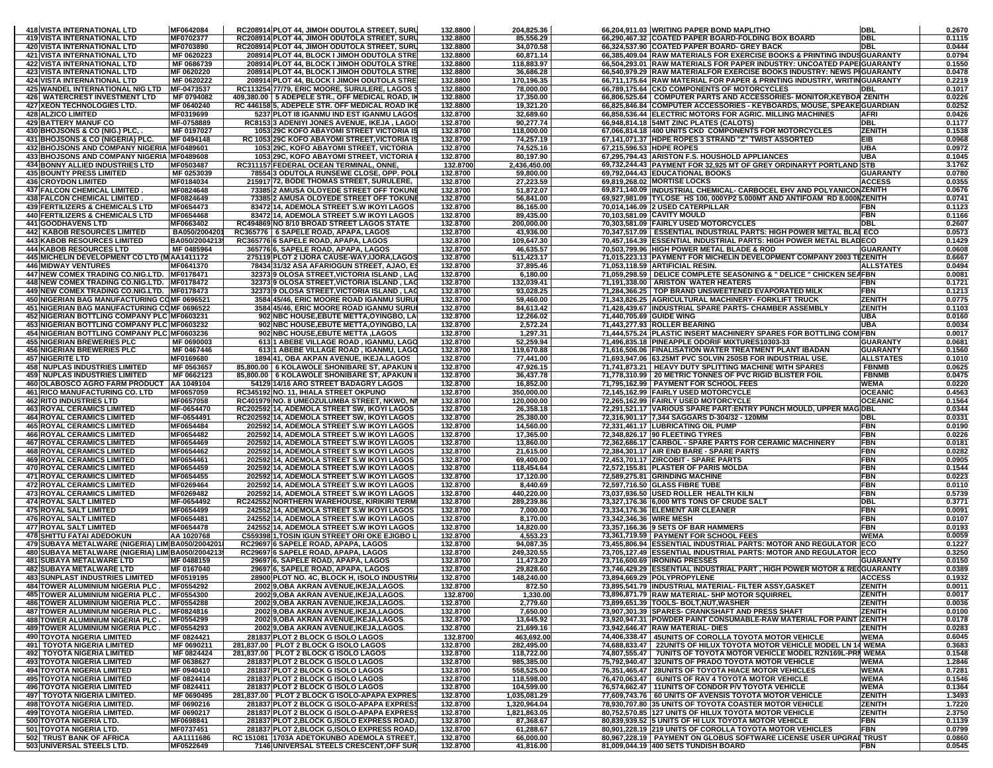| <b>418 VISTA INTERNATIONAL LTD</b>                                                         | MF0642084                | RC208914 PLOT 44, JIMOH ODUTOLA STREET, SURL                                               | 132.8800             | 204,825.36                   |                          | 66,204,911.03 WRITING PAPER BOND MAPLITHO                                                                                                          | DBL                              | 0.2670           |
|--------------------------------------------------------------------------------------------|--------------------------|--------------------------------------------------------------------------------------------|----------------------|------------------------------|--------------------------|----------------------------------------------------------------------------------------------------------------------------------------------------|----------------------------------|------------------|
| 419 VISTA INTERNATIONAL LTD                                                                | MF0702377                | RC208914 PLOT 44, JIMOH ODUTOLA STREET, SURL                                               | 132.8800             | 85,556.29                    |                          | 66,290,467.32 COATED PAPER BOARD-FOLDING BOX BOARD                                                                                                 | <b>DBL</b>                       | 0.1115           |
| <b>420 VISTA INTERNATIONAL LTD</b>                                                         | MF0703890<br>MF 0620223  | RC208914 PLOT 44. JIMOH ODUTOLA STREET, SURL<br>208914 PLOT 44, BLOCK I JIMOH ODUTOLA STRE | 132.8800<br>132.8800 | 34,070.58                    |                          | 66.324.537.90 COATED PAPER BOARD- GREY BACK                                                                                                        | <b>IDBL</b>                      | 0.0444<br>0.0794 |
| <b>421 VISTA INTERNATIONAL LTD</b><br><b>422 VISTA INTERNATIONAL LTD</b>                   | MF 0686739               | 208914 PLOT 44, BLOCK I JIMOH ODUTOLA STRE                                                 | 132.8800             | 60,871.14<br>118,883.97      |                          | 66,385,409.04 RAW MATERIALS FOR EXERCISE BOOKS & PRINTING INDUS GUARANTY<br>66,504,293.01 RAW MATERIALS FOR PAPER INDUSTRY: UNCOATED PAPE GUARANTY |                                  | 0.1550           |
| <b>423 VISTA INTERNATIONAL LTD</b>                                                         | MF 0620220               | 208914 PLOT 44, BLOCK I JIMOH ODUTOLA STRE                                                 | 132.8800             | 36,686.28                    |                          | 66,540,979.29 RAW MATERIALFOR EXERCISE BOOKS INDUSTRY: NEWS PIGUARANTY                                                                             |                                  | 0.0478           |
| <b>424 VISTA INTERNATIONAL LTD</b>                                                         | MF 0620222               | 208914 PLOT 44, BLOCK I JIMOH ODUTOLA STRE                                                 | 132.8800             | 170,196.35                   |                          | 66,711,175.64 RAW MATERIAL FOR PAPER & PRINTING INDUSTRY, WRITINGUARANTY                                                                           |                                  | 0.2219           |
| 425 WANDEL INTERNATIONAL NIG LTD MF-0473537                                                |                          | RC113254 77/79, ERIC MOORE, SURULERE, LAGOS \$                                             | 132.8800             | 78,000.00                    |                          | 66,789,175.64 CKD COMPONENTS OF MOTORCYCLES                                                                                                        | DBL                              | 0.1017           |
| <b>426 WATERCREST INVESTMENT LTD</b>                                                       | MF 0794082               | 409,380.00   5 ADEPELE STR., OFF MEDICAL ROAD, II                                          | 132.8800             | 17,350.00                    |                          | 66,806,525.64 COMPUTER PARTS AND ACCESSORIES- MONITOR, KEYBOA ZENITH                                                                               |                                  | 0.0226           |
| 427 XEON TECHNOLOGIES LTD.                                                                 | MF 0640240               | RC 446158 5, ADEPELE STR. OFF MEDICAL ROAD IKE                                             | 132.8800             | 19,321.20                    |                          | 66,825,846.84 COMPUTER ACCESSORIES - KEYBOARDS, MOUSE, SPEAKE GUARDIAN                                                                             |                                  | 0.0252           |
| <b>428 ALZICO LIMITED</b>                                                                  | MF0319699                | 5237 PLOT I8 IGANMU IND EST IGANMU LAGOS                                                   | 132.8700             | 32,689.60                    |                          | 66,858,536.44 ELECTRIC MOTORS FOR AGRIC. MILLING MACHINES                                                                                          | <b>AFRI</b><br><b>DBL</b>        | 0.0426           |
| <b>429 BATTERY MANUF CO</b><br>430 BHOJSONS & CO (NIG.) PLC,                               | MF-0758889<br>MF 0197027 | RC8153 3 ADENIYI JONES AVENUE, IKEJA, LAGOS<br>1053 29C KOFO ABAYOMI STREET VICTORIA IS    | 132.8700<br>132.8700 | 90,277.74<br>118,000.00      |                          | 66,948,814.18 54MT ZINC PLATES (CALOTS)<br>67,066,814.18 400 UNITS CKD COMPONENTS FOR MOTORCYCLES                                                  | <b>ZENITH</b>                    | 0.1177<br>0.1538 |
| 431 BHOJSONS & CO (NIGERIA) PLC.                                                           | MF 0494148               | RC 1053 29C KOFO ABAYOMI STREET, VICTORIA IS                                               | 132.8700             | 74,257.19                    |                          | 67,141,071.37 HDPE ROPES 3 STRAND "Z" TWIST ASSORTED                                                                                               | <b>IEIB</b>                      | 0.0968           |
| 432 BHOJSONS AND COMPANY NIGERIA MF0489601                                                 |                          | 1053 29C, KOFO ABAYOMI STREET, VICTORIA                                                    | 132.8700             | 74,525.16                    | 67,215,596.53 HDPE ROPES |                                                                                                                                                    | <b>UBA</b>                       | 0.0972           |
| 433 BHOJSONS AND COMPANY NIGERIA MF0489608                                                 |                          | 1053 29C, KOFO ABAYOMI STREET, VICTORIA                                                    | 132.8700             | 80,197.90                    |                          | 67,295,794.43 ARISTON F.S. HOUSHOLD APPLIANCES                                                                                                     | <b>UBA</b>                       | 0.1045           |
| <b>434 BONNY ALLIED INDUSTRIES LTD</b>                                                     | MF0503487                | RC311157 FEDERAL OCEAN TERMINAL, ONNE.                                                     | 132.8700             | 2,436,450.00                 |                          | 69,732,244.43 PAYMENT FOR 32,925 MT OF GREY ORDINARYT PORTLAND STB                                                                                 |                                  | 3.1762           |
| <b>435 BOUNTY PRESS LIMITED</b>                                                            | MF 0253039               | 78554 3 ODUTOLA RUNSEWE CLOSE, OPP. POL                                                    | 132.8700             | 59,800.00                    |                          | 69,792,044.43 EDUCATIONAL BOOKS                                                                                                                    | <b>GUARANTY</b>                  | 0.0780           |
| <b>436 CROYDON LIMITED</b>                                                                 | MF0184034                | 215917 72, BODE THOMAS STREET, SURULERE,                                                   | 132.8700             | 27,223.59                    |                          | 69,819,268.02 MORTISE LOCKS                                                                                                                        | <b>ACCESS</b>                    | 0.0355           |
| <b>437 FALCON CHEMICAL LIMITED</b><br><b>438 FALCON CHEMICAL LIMITED</b>                   | MF0824648<br>MF0824649   | 73385 2 AMUSA OLOYEDE STREET OFF TOKUNE<br>73385 2 AMUSA OLOYEDE STREET OFF TOKUNE         | 132.8700<br>132.8700 | 51,872.07<br>56,841.00       |                          | 69,871,140.09 INDUSTRIAL CHEMICAL- CARBOCEL EHV AND POLYANICON ZENITH<br>69,927,981.09 TYLOSE HS 100, 000YP2 5.000MT AND ANTIFOAM RD 8.000NZENITH  |                                  | 0.0676<br>0.0741 |
| <b>439 FERTILIZERS &amp; CHEMICALS LTD</b>                                                 | MF0654473                | 83472 14. ADEMOLA STREET S.W IKOYI LAGOS                                                   | 132.8700             | 86,165.00                    |                          | 70,014,146.09 2 USED CATERPILLAR                                                                                                                   | <b>FBN</b>                       | 0.1123           |
| 440 FERTILIZERS & CHEMICALS LTD                                                            | MF0654468                | 83472 14, ADEMOLA STREET S.W IKOYI LAGOS                                                   | 132.8700             | 89,435.00                    |                          | 70,103,581.09 CAVITY MOULD                                                                                                                         | <b>FBN</b>                       | 0.1166           |
| <b>441 GOODHAVENS LTD</b>                                                                  | MF0663402                | RC494869 NO 8/10 BROAD STREET LAGOS STATE                                                  | 132.8700             | 200,000.00                   |                          | 70,303,581.09 FAIRLY USED MOTORCYCLES                                                                                                              | <b>DBL</b>                       | 0.2607           |
| 442 KABOB RESOURCES LIMITED                                                                | BA050/2004201            | RC365776   6 SAPELE ROAD, APAPA, LAGOS                                                     | 132.8700             | 43,936.00                    |                          | 70,347,517.09   ESSENTIAL INDUSTRIAL PARTS: HIGH POWER METAL BLAI ECO                                                                              |                                  | 0.0573           |
| <b>443 KABOB RESOURCES LIMITED</b>                                                         | BA050/2004213            | RC365776 6 SAPELE ROAD, APAPA, LAGOS                                                       | 132.8700             | 109,647.30                   |                          | 70,457,164.39 ESSENTIAL INDUSTRIAL PARTS: HIGH POWER METAL BLADECO                                                                                 |                                  | 0.1429           |
| 444 KABOB RESOURCES LTD                                                                    | MF 0485964               | 365776 6, SAPELE ROAD, APAPA, LAGOS                                                        | 132.8700             | 46,635.57                    |                          | 70,503,799.96 HIGH POWER METAL BLADE & ROD                                                                                                         | <b>GUARANTY</b>                  | 0.0608           |
| 445 MICHELIN DEVELOPMENT CO LTD (MAA1411172<br><b>446 MIDWAY VENTURES</b>                  | MF0641370                | 275119 PLOT 2 IJORA CAUSE-WAY,IJORA,LAGOS<br>78434 31/32 ASA AFARIOGUN STREET, AJAO, ES    | 132.8700<br>132.8700 | 511,423.17<br>37,895.46      |                          | 71,015,223.13 PAYMENT FOR MICHELIN DEVELOPMENT COMPANY 2003 TEZENITH<br>71,053,118.59 ARTIFICIAL RESIN.                                            | <b>ALLSTATES</b>                 | 0.6667<br>0.0494 |
| 447 NEW COMEX TRADING CO.NIG.LTD. MF0178471                                                |                          | 32373 9 OLOSA STREET, VICTORIA ISLAND, LAG                                                 | 132.8700             | 6,180.00                     |                          | 71,059,298.59   DELICE COMPLETE SEASONING & " DELICE " CHICKEN SEAFBN                                                                              |                                  | 0.0081           |
| 448 NEW COMEX TRADING CO.NIG.LTD. MF0178472                                                |                          | 32373 9 OLOSA STREET, VICTORIA ISLAND, LAG                                                 | 132.8700             | 132,039.41                   |                          | 71,191,338.00 ARISTON WATER HEATERS                                                                                                                | <b>FBN</b>                       | 0.1721           |
| 449 NEW COMEX TRADING CO.NIG.LTD. MF0178473                                                |                          | 32373 9 OLOSA STREET, VICTORIA ISLAND, LAC                                                 | 132.8700             | 93,028.25                    |                          | 71,284,366.25   TOP BRAND UNSWEETENED EVAPORATED MILK                                                                                              | <b>FBN</b>                       | 0.1213           |
| 450 NIGERIAN BAG MANUFACTURING COMF 0696521                                                |                          | 3584 45/46, ERIC MOORE ROAD IGANMU SURUI                                                   | 132.8700             | 59,460.00                    |                          | 71,343,826.25 AGRICULTURAL MACHINERY- FORKLIFT TRUCK                                                                                               | <b>ZENITH</b>                    | 0.0775           |
| 451 NIGERIAN BAG MANUFACTURING COMF 0696522                                                |                          | 3584 45/46, ERIC MOORE ROAD IGANMU SURU                                                    | 132.8700             | 84,613.42                    |                          | 71,428,439.67 INDUSTRIAL SPARE PARTS- CHAMBER ASSEMBLY                                                                                             | <b>ZENITH</b>                    | 0.1103           |
| 452 NIGERIAN BOTTLING COMPANY PLC MF0603231<br>453 NIGERIAN BOTTLING COMPANY PLC MF0603232 |                          | 902 NBC HOUSE, EBUTE METTA, OYINGBO, LA                                                    | 132.8700             | 12,266.02                    | 71,440,705.69 GUIDE WING |                                                                                                                                                    | <b>UBA</b><br><b>UBA</b>         | 0.0160<br>0.0034 |
| 454 NIGERIAN BOTTLING COMPANY PLC MF0603236                                                |                          | 902 NBC HOUSE, EBUTE METTA, OYINGBO, LA<br>902 NBC HOUSE, EBUTE METTA, LAGOS               | 132.8700<br>132.8700 | 2,572.24<br>1,297.31         |                          | 71,443,277.93 ROLLER BEARING<br>71,444,575.24 PLASTIC INSERT MACHINERY SPARES FOR BOTTLING COM FBN                                                 |                                  | 0.0017           |
| <b>455 NIGERIAN BREWERIES PLC</b>                                                          | MF 0690003               | 613 1 ABEBE VILLAGE ROAD, IGANMU, LAGO                                                     | 132.8700             | 52,259.94                    |                          | 71,496,835.18 PINEAPPLE ODORIF MIXTURES10303-33                                                                                                    | <b>GUARANTY</b>                  | 0.0681           |
| <b>456 NIGERIAN BREWERIES PLC</b>                                                          | MF 0467446               | 613 1 ABEBE VILLAGE ROAD, IGANMU, LAGO                                                     | 132.8700             | 119,670.88                   |                          | 71,616,506.06 FINALISATION WATER TREATMENT PLANT IBADAN                                                                                            | <b>GUARANTY</b>                  | 0.1560           |
| <b>457 NIGERITE LTD</b>                                                                    | MF0169680                | 1894 41, OBA AKPAN AVENUE, IKEJA.LAGOS                                                     | 132.8700             | 77,441.00                    |                          | 71,693,947.06 63.25MT PVC SOLVIN 250SB FOR INDUSTRIAL USE.                                                                                         | <b>ALLSTATES</b>                 | 0.1010           |
| <b>458 NUPLAS INDUSTRIES LIMITED</b>                                                       | MF 0563657               | 85,800.00   6 KOLAWOLE SHONIBARE ST, APAKUN                                                | 132.8700             | 47,926.15                    |                          | 71.741.873.21 HEAVY DUTY SPLITTING MACHINE WITH SPARES                                                                                             | <b>FBNMB</b>                     | 0.0625           |
| <b>459 NUPLAS INDUSTRIES LIMITED</b>                                                       | MF 0662123               | 85,800.00   6 KOLAWOLE SHONIBARE ST, APAKUN                                                | 132.8700             | 36,437.78                    |                          | 71.778.310.99 20 METRIC TONNES OF PVC RIGID BLISTER FOIL                                                                                           | <b>FBNMB</b>                     | 0.0475           |
| 460 OLABOSCO AGRO FARM PRODUCT AA 1049104                                                  |                          | 54129 14/16 ARO STREET BADAGRY LAGOS                                                       | 132.8700             | 16,852.00                    |                          | 71,795,162.99 PAYMENT FOR SCHOOL FEES                                                                                                              | <b>WEMA</b>                      | 0.0220           |
| 461 RICO MANUFACTURING CO. LTD<br><b>462 RITO INDUSTRIES LTD</b>                           | MF0657059<br>MF0657058   | RC345192 NO. 11, IHIALA STREET OKPUNO<br>RC401979 NO. 8 UMEOZULUMBA STREET, NKWO, NI       | 132.8700<br>132.8700 | 350,000.00<br>120,000.00     |                          | 72,145,162.99 FAIRLY USED MOTORCYCLE<br>72,265,162.99 FAIRLY USED MOTORCYCLE                                                                       | <b>OCEANIC</b><br><b>OCEANIC</b> | 0.4563<br>0.1564 |
| <b>463 ROYAL CERAMICS LIMITED</b>                                                          | MF-0654470               | RC202592 14, ADEMOLA STREET SW, IKOYI LAGOS                                                | 132.8700             | 26,358.18                    |                          | 72,291,521.17 VARIOUS SPARE PART: ENTRY PUNCH MOULD, UPPER MAG DBL                                                                                 |                                  | 0.0344           |
| <b>464 ROYAL CERAMICS LIMITED</b>                                                          | MF-0654491               | RC202592 14, ADEMOLA STREET SW, IKOYI LAGOS                                                | 132.8700             | 25,380.00                    |                          | 72,316,901.17 7,344 SAGGARS D-304/32 - 120MM                                                                                                       | <b>DBL</b>                       | 0.0331           |
| <b>465 ROYAL CERAMICS LIMITED</b>                                                          | MF0654484                | 202592 14, ADEMOLA STREET S.W IKOYI LAGOS                                                  | 132.8700             | 14,560.00                    |                          | 72,331,461.17 LUBRICATING OIL PUMP                                                                                                                 | <b>FBN</b>                       | 0.0190           |
| <b>466 ROYAL CERAMICS LIMITED</b>                                                          | MF0654482                | 202592 14, ADEMOLA STREET S.W IKOYI LAGOS                                                  | 132.8700             | 17,365.00                    |                          | 72,348,826.17 90 FLEETING TYRES                                                                                                                    | <b>FBN</b>                       | 0.0226           |
| <b>467 ROYAL CERAMICS LIMITED</b>                                                          | MF0654469                | 202592 14, ADEMOLA STREET S.W IKOYI LAGOS                                                  | 132.8700             | 13,860.00                    |                          | 72,362,686.17 CARBOL - SPARE PARTS FOR CERAMIC MACHINERY                                                                                           | <b>FBN</b>                       | 0.0181           |
| <b>468 ROYAL CERAMICS LIMITED</b><br><b>469 ROYAL CERAMICS LIMITED</b>                     | MF0654462<br>MF0654461   | 202592 14, ADEMOLA STREET S.W IKOYI LAGOS<br>202592 14, ADEMOLA STREET S.W IKOYI LAGOS     | 132.8700<br>132.8700 | 21,615.00<br>69,400.00       |                          | 72,384,301.17 AIR END BARE - SPARE PARTS<br>72,453,701.17 ZIRCOBIT - SPARE PARTS                                                                   | <b>FBN</b><br><b>FBN</b>         | 0.0282<br>0.0905 |
| <b>470 ROYAL CERAMICS LIMITED</b>                                                          | MF0654459                | 202592 14, ADEMOLA STREET S.W IKOYI LAGOS                                                  | 132.8700             | 118,454.64                   |                          | 72,572,155.81 PLASTER OF PARIS MOLDA                                                                                                               | <b>FBN</b>                       | 0.1544           |
| <b>471 ROYAL CERAMICS LIMITED</b>                                                          | MF0654455                | 202592 14, ADEMOLA STREET S.W IKOYI LAGOS                                                  | 132.8700             | 17,120.00                    |                          | 72,589,275.81 GRINDING MACHINE                                                                                                                     | <b>FBN</b>                       | 0.0223           |
| <b>472 ROYAL CERAMICS LIMITED</b>                                                          | MF0269464                | 202592 14, ADEMOLA STREET S.W IKOYI LAGOS                                                  | 132.8700             | 8,440.69                     |                          | 72,597,716.50 GLASS FIBRE TUBE                                                                                                                     | <b>FBN</b>                       | 0.0110           |
| <b>473 ROYAL CERAMICS LIMITED</b>                                                          | MF0269482                | 202592 14, ADEMOLA STREET S.W IKOYI LAGOS                                                  | 132.8700             | 440,220.00                   |                          | 73,037,936.50 USED ROLLER HEALTH KILN                                                                                                              | <b>FBN</b>                       | 0.5739           |
| <b>474 ROYAL SALT LIMITED</b>                                                              | MF-0654492               | RC242552 NORTHERN WAREHOUSE, KIRIKIRI TERMI                                                | 132.8700             | 289,239.86                   |                          | 73,327,176.36 6,000 MTS TONS OF CRUDE SALT                                                                                                         | <b>DBL</b>                       | 0.3771           |
| <b>475 ROYAL SALT LIMITED</b>                                                              | MF0654499                | 242552 14, ADEMOLA STREET S.W IKOYI LAGOS                                                  | 132.8700             | 7,000.00                     |                          | 73,334,176.36 ELEMENT AIR CLEANER                                                                                                                  | <b>FBN</b>                       | 0.0091           |
| 476 ROYAL SALT LIMITED<br><b>477 ROYAL SALT LIMITED</b>                                    | MF0654481<br>MF0654478   | 242552 14, ADEMOLA STREET S.W IKOYI LAGOS                                                  | 132.8700<br>132.8700 | 8,170.00<br>14,820.00        | 73,342,346.36 WIRE MESH  |                                                                                                                                                    | <b>FBN</b><br><b>FBN</b>         | 0.0107<br>0.0193 |
| <b>478 SHITTU FATAI ADEDOKUN</b>                                                           | AA 1020768               | 242552 14, ADEMOLA STREET S.W IKOYI LAGOS<br>C559398 1, TOSIN IGUN STREET ORI OKE EJIGBO L | 132.8700             | 4,553.23                     |                          | 73,357,166.36 9 SETS OF BAR HAMMERS<br>73,361,719.59 PAYMENT FOR SCHOOL FEES                                                                       | <b>WEMA</b>                      | 0.0059           |
| 479 SUBAYA METALWARE (NIGERIA) LIM BA050/2004201                                           |                          | RC29697 6 SAPELE ROAD, APAPA, LAGOS                                                        | 132.8700             | 94,087.35                    |                          | 73,455,806.94 ESSENTIAL INDUSTRIAL PARTS: MOTOR AND REGULATOR ECO                                                                                  |                                  | 0.1227           |
| 480 SUBAYA METALWARE (NIGERIA) LIM BA050/2004213                                           |                          | RC29697 6 SAPELE ROAD, APAPA, LAGOS                                                        | 132.8700             | 249,320.55                   |                          | 73,705,127.49 ESSENTIAL INDUSTRIAL PARTS: MOTOR AND REGULATOR ECO                                                                                  |                                  | 0.3250           |
| <b>481 SUBAYA METALWARE LTD</b>                                                            | MF 0488159               | 29697 6, SAPELE ROAD, APAPA, LAGOS                                                         | 132.8700             | 11,473.20                    |                          | 73.716.600.69 RONING PRESSES                                                                                                                       | GUARANTY                         | 0.0150           |
| <b>482 SUBAYA METALWARE LTD</b>                                                            | MF 0167040               | 29697 6, SAPELE ROAD, APAPA, LAGOS                                                         | 132.8700             | 29,828.60                    |                          | 73,746,429.29 ESSENTIAL INDUSTRIAL PART, HIGH POWER MOTOR & RECGUARANTY                                                                            |                                  | 0.0389           |
| <b>483 SUNPLAST INDUSTRIES LIMITED</b><br><b>484 TOWER ALUMINIUM NIGERIA PLC.</b>          | MF0519195<br>MF0554292   | 28900 PLOT NO. 4C, BLOCK H, ISOLO INDUSTRIA<br>2002 9, OBA AKRAN AVENUE, IKEJA, LAGOS.     | 132.8700<br>132.8700 | 148,240.00<br>872.50         |                          | 73,894,669.29 POLYPROPYLENE<br>73,895,541.79 INDUSTRIAL MATERIAL- FILTER ASSY,GASKET                                                               | <b>ACCESS</b><br><b>ZENITH</b>   | 0.1932<br>0.0011 |
| 485 TOWER ALUMINIUM NIGERIA PLC.                                                           | MF0554300                | 2002 9, OBA AKRAN AVENUE, IKEJA, LAGOS.                                                    | 132.8700             | 1,330.00                     |                          | 73,896,871.79 RAW MATERIAL- 5HP MOTOR SQUIRREL                                                                                                     | <b>ZENITH</b>                    | 0.0017           |
| <b>486 TOWER ALUMINIUM NIGERIA PLC.</b>                                                    | MF0554288                | 2002 9, OBA AKRAN AVENUE, IKEJA, LAGOS.                                                    | 132.8700             | 2,779.60                     |                          | 73,899,651.39 TOOLS- BOLT, NUT, WASHER                                                                                                             | <b>ZENITH</b>                    | 0.0036           |
| <b>487 TOWER ALUMINIUM NIGERIA PLC.</b>                                                    | MF0824816                | 2002 9, OBA AKRAN AVENUE, IKEJA, LAGOS.                                                    | 132.8700             | 7,650.00                     |                          | 73,907,301.39 SPARES- CRANKSHAFT AND PRESS SHAFT                                                                                                   | <b>ZENITH</b>                    | 0.0100           |
| <b>488 TOWER ALUMINIUM NIGERIA PLC.</b>                                                    | MF0554299                | 2002 9, OBA AKRAN AVENUE, IKEJA, LAGOS.                                                    | 132.8700             | 13,645.92                    |                          | 73.920.947.31 POWDER PAINT CONSUMABLE-RAW MATERIAL FOR PAINT ZENITH                                                                                |                                  | 0.0178           |
| <b>489 TOWER ALUMINIUM NIGERIA PLC.</b>                                                    | MF0554293                | 2002 9.OBA AKRAN AVENUE, IKEJA, LAGOS.                                                     | 132.8700             | 21,699.16                    |                          | 73,942,646.47 RAW MATERIAL- DIES                                                                                                                   | <b>ZENITH</b>                    | 0.0283           |
| <b>490 TOYOTA NIGERIA LIMITED</b>                                                          | MF 0824421<br>MF 0690211 | 281837 PLOT 2 BLOCK G ISOLO LAGOS                                                          | 132.8700<br>132.8700 | 463,692.00<br>282,495.00     |                          | 74,406,338.47 45UNITS OF COROLLA TOYOTA MOTOR VEHICLE<br>74,688,833.47 22UNITS OF HILUX TOYOTA MOTOR VEHICLE MODEL LN 14 WEMA                      | <b>WEMA</b>                      | 0.6045<br>0.3683 |
| <b>491 TOYOTA NIGERIA LIMITED</b><br><b>492 TOYOTA NIGERIA LIMITED</b>                     | MF 0824424               | 281,837.00 PLOT 2 BLOCK G ISOLO LAGOS<br>281,837.00 PLOT 2 BLOCK G ISOLO LAGOS             | 132.8700             | 118,722.00                   |                          | 74,807,555.47   7UNITS OF TOYOTA MOTOR VEHICLE MODEL RZN169L-PRI WEMA                                                                              |                                  | 0.1548           |
| <b>493 TOYOTA NIGERIA LIMITED</b>                                                          | MF 0638627               | 281837 PLOT 2 BLOCK G ISOLO LAGOS                                                          | 132.8700             | 985,385.00                   |                          | 75,792,940.47 32UNITS OF PRADO TOYOTA MOTOR VEHICLE                                                                                                | <b>WEMA</b>                      | 1.2846           |
| <b>494 TOYOTA NIGERIA LIMITED</b>                                                          | MF 0940410               | 281837 PLOT 2 BLOCK G ISOLO LAGOS                                                          | 132.8700             | 558,525.00                   |                          | 76,351,465.47 28UNITS OF TOYOTA HIACE MOTOR VEHICLES                                                                                               | <b>WEMA</b>                      | 0.7281           |
| <b>495 TOYOTA NIGERIA LIMITED</b>                                                          | MF 0824414               | 281837 PLOT 2 BLOCK G ISOLO LAGOS                                                          | 132.8700             | 118,598.00                   |                          | 76,470,063.47   6UNITS OF RAV 4 TOYOTA MOTOR VEHICLE                                                                                               | <b>WEMA</b>                      | 0.1546           |
| <b>496 TOYOTA NIGERIA LIMITED</b>                                                          | MF 0824411               | 281837 PLOT 2 BLOCK G ISOLO LAGOS                                                          | 132.8700             | 104,599.00                   |                          | 76,574,662.47 11UNITS OF CONDOR P/V TOYOTA VEHICLE                                                                                                 | <b>WEMA</b>                      | 0.1364           |
| 497 TOYOTA NIGERIA LIMITED.<br>498 TOYOTA NIGERIA LIMITED.                                 | MF 0690495<br>MF 0690216 | 281,837.00 PLOT 2 BLOCK G ISOLO-APAPA EXPRES                                               | 132.8700             | 1,035,081.29<br>1,320,964.04 |                          | 77,609,743.76   60 UNITS OF AVENSIS TOYOTA MOTOR VEHICLE<br>78,930,707.80 35 UNITS OF TOYOTA COASTER MOTOR VEHICLE                                 | <b>ZENITH</b>                    | 1.3493           |
| 499 TOYOTA NIGERIA LIMITED.                                                                | MF 0690217               | 281837 PLOT 2 BLOCK G ISOLO-APAPA EXPRESS<br>281837 PLOT 2 BLOCK G ISOLO-APAPA EXPRESS     | 132.8700<br>132.8700 | 1,821,863.05                 |                          | 80,752,570.85 127 UNITS OF HILUX TOYOTA MOTOR VEHICLE                                                                                              | <b>ZENITH</b><br><b>ZENITH</b>   | 1.7220<br>2.3750 |
| 500 TOYOTA NIGERIA LTD.                                                                    | MF0698841                | 281837 PLOT 2.BLOCK G.ISOLO EXPRESS ROAD.                                                  | 132.8700             | 87,368.67                    |                          | 80,839,939.52 5 UNITS OF HI LUX TOYOTA MOTOR VEHICLE                                                                                               | <b>FBN</b>                       | 0.1139           |
| 501 TOYOTA NIGERIA LTD.                                                                    | MF0737451                | 281837 PLOT 2, BLOCK G, ISOLO EXPRESS ROAD,                                                | 132.8700             | 61,288.67                    |                          | 80,901,228.19 219 UNITS OF COROLLA TOYOTA MOTOR VEHICLES                                                                                           | <b>FBN</b>                       | 0.0799           |
| 502 TRUST BANK OF AFRICA                                                                   | AA1111686                | RC 151081 1703A ADETOKUNBO ADEMOLA STREET,                                                 | 132.8700             | 66,000.00                    |                          | 80,967,228.19   PAYMENT ON GLOBUS SOFTWARE LICENSE USER UPGRAI TRUST                                                                               |                                  | 0.0860           |
| 503 UNIVERSAL STEELS LTD.                                                                  | MF0522649                | 7146 UNIVERSAL STEELS CRESCENT, OFF SUR                                                    | 132.8700             | 41,816.00                    |                          | 81,009,044.19 400 SETS TUNDISH BOARD                                                                                                               | <b>FBN</b>                       | 0.0545           |